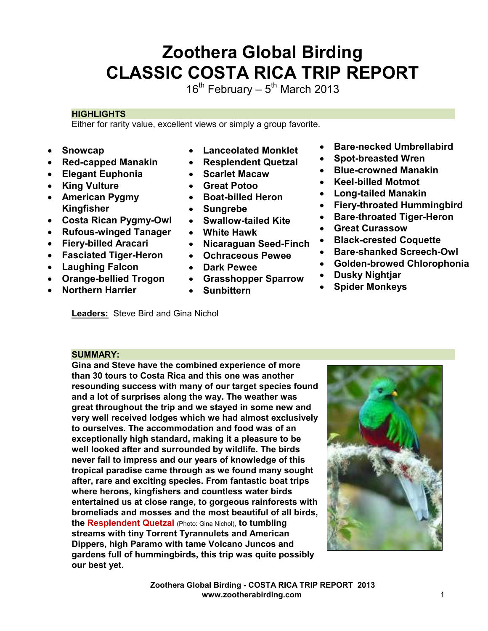### **Zoothera Global Birding CLASSIC COSTA RICA TRIP REPORT**

 $16^{th}$  February –  $5^{th}$  March 2013

#### **HIGHLIGHTS**

Either for rarity value, excellent views or simply a group favorite.

- **Snowcap**
- **Red-capped Manakin**
- **Elegant Euphonia**
- **King Vulture**
- **American Pygmy Kingfisher**
- **Costa Rican Pygmy-Owl**
- **Rufous-winged Tanager**
- **Fiery-billed Aracari**
- **Fasciated Tiger-Heron**
- **Laughing Falcon**
- **Orange-bellied Trogon**
- **Northern Harrier**

**Leaders:** Steve Bird and Gina Nichol

- **Lanceolated Monklet**
- **Resplendent Quetzal**
- **Scarlet Macaw**
- **Great Potoo**
- **Boat-billed Heron**
- **Sungrebe**
- **Swallow-tailed Kite**
- **White Hawk**
- **Nicaraguan Seed-Finch**
- **Ochraceous Pewee**
- **Dark Pewee**
- **Grasshopper Sparrow**
- **Sunbittern**
- **Bare-necked Umbrellabird**
- **Spot-breasted Wren**
- **Blue-crowned Manakin**
- **Keel-billed Motmot**
- **Long-tailed Manakin**
- **Fiery-throated Hummingbird**
- **Bare-throated Tiger-Heron**
- **Great Curassow**
- **Black-crested Coquette**
- **Bare-shanked Screech-Owl**
- **Golden-browed Chlorophonia**
- **Dusky Nightjar**
- **Spider Monkeys**

#### **SUMMARY:**

**Gina and Steve have the combined experience of more than 30 tours to Costa Rica and this one was another resounding success with many of our target species found and a lot of surprises along the way. The weather was great throughout the trip and we stayed in some new and very well received lodges which we had almost exclusively to ourselves. The accommodation and food was of an exceptionally high standard, making it a pleasure to be well looked after and surrounded by wildlife. The birds never fail to impress and our years of knowledge of this tropical paradise came through as we found many sought after, rare and exciting species. From fantastic boat trips where herons, kingfishers and countless water birds entertained us at close range, to gorgeous rainforests with bromeliads and mosses and the most beautiful of all birds, the Resplendent Quetzal** (Photo: Gina Nichol), **to tumbling streams with tiny Torrent Tyrannulets and American Dippers, high Paramo with tame Volcano Juncos and gardens full of hummingbirds, this trip was quite possibly our best yet.** 

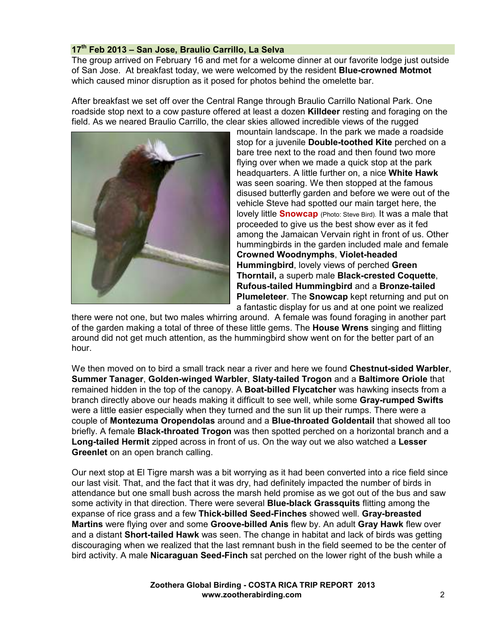#### **17th Feb 2013 – San Jose, Braulio Carrillo, La Selva**

The group arrived on February 16 and met for a welcome dinner at our favorite lodge just outside of San Jose. At breakfast today, we were welcomed by the resident **Blue-crowned Motmot** which caused minor disruption as it posed for photos behind the omelette bar.

After breakfast we set off over the Central Range through Braulio Carrillo National Park. One roadside stop next to a cow pasture offered at least a dozen **Killdeer** resting and foraging on the field. As we neared Braulio Carrillo, the clear skies allowed incredible views of the rugged



mountain landscape. In the park we made a roadside stop for a juvenile **Double-toothed Kite** perched on a bare tree next to the road and then found two more flying over when we made a quick stop at the park headquarters. A little further on, a nice **White Hawk** was seen soaring. We then stopped at the famous disused butterfly garden and before we were out of the vehicle Steve had spotted our main target here, the lovely little **Snowcap** (Photo: Steve Bird). It was a male that proceeded to give us the best show ever as it fed among the Jamaican Vervain right in front of us. Other hummingbirds in the garden included male and female **Crowned Woodnymphs**, **Violet-headed Hummingbird**, lovely views of perched **Green Thorntail,** a superb male **Black-crested Coquette**, **Rufous-tailed Hummingbird** and a **Bronze-tailed Plumeleteer**. The **Snowcap** kept returning and put on a fantastic display for us and at one point we realized

there were not one, but two males whirring around. A female was found foraging in another part of the garden making a total of three of these little gems. The **House Wrens** singing and flitting around did not get much attention, as the hummingbird show went on for the better part of an hour.

We then moved on to bird a small track near a river and here we found **Chestnut-sided Warbler**, **Summer Tanager**, **Golden-winged Warbler**, **Slaty-tailed Trogon** and a **Baltimore Oriole** that remained hidden in the top of the canopy. A **Boat-billed Flycatcher** was hawking insects from a branch directly above our heads making it difficult to see well, while some **Gray-rumped Swifts** were a little easier especially when they turned and the sun lit up their rumps. There were a couple of **Montezuma Oropendolas** around and a **Blue-throated Goldentail** that showed all too briefly. A female **Black-throated Trogon** was then spotted perched on a horizontal branch and a **Long-tailed Hermit** zipped across in front of us. On the way out we also watched a **Lesser Greenlet** on an open branch calling.

Our next stop at El Tigre marsh was a bit worrying as it had been converted into a rice field since our last visit. That, and the fact that it was dry, had definitely impacted the number of birds in attendance but one small bush across the marsh held promise as we got out of the bus and saw some activity in that direction. There were several **Blue-black Grassquits** flitting among the expanse of rice grass and a few **Thick-billed Seed-Finches** showed well. **Gray-breasted Martins** were flying over and some **Groove-billed Anis** flew by. An adult **Gray Hawk** flew over and a distant **Short-tailed Hawk** was seen. The change in habitat and lack of birds was getting discouraging when we realized that the last remnant bush in the field seemed to be the center of bird activity. A male **Nicaraguan Seed-Finch** sat perched on the lower right of the bush while a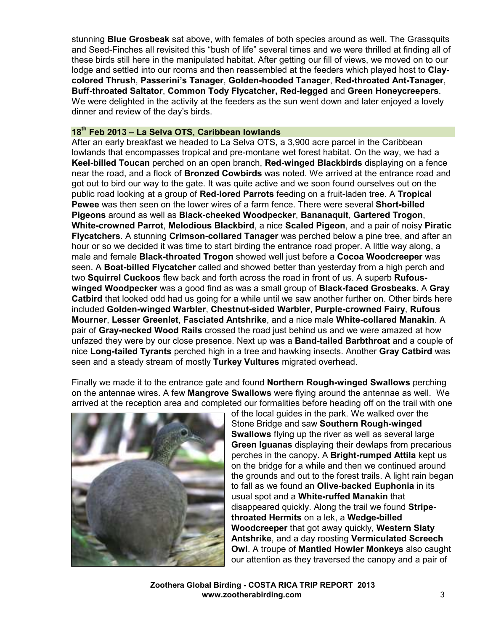stunning **Blue Grosbeak** sat above, with females of both species around as well. The Grassquits and Seed-Finches all revisited this "bush of life" several times and we were thrilled at finding all of these birds still here in the manipulated habitat. After getting our fill of views, we moved on to our lodge and settled into our rooms and then reassembled at the feeders which played host to **Claycolored Thrush**, **Passerini's Tanager**, **Golden-hooded Tanager**, **Red-throated Ant-Tanager**, **Buff-throated Saltator**, **Common Tody Flycatcher, Red-legged** and **Green Honeycreepers**. We were delighted in the activity at the feeders as the sun went down and later enjoyed a lovely dinner and review of the day's birds.

#### **18th Feb 2013 – La Selva OTS, Caribbean lowlands**

After an early breakfast we headed to La Selva OTS, a 3,900 acre parcel in the Caribbean lowlands that encompasses tropical and pre-montane wet forest habitat. On the way, we had a **Keel-billed Toucan** perched on an open branch, **Red-winged Blackbirds** displaying on a fence near the road, and a flock of **Bronzed Cowbirds** was noted. We arrived at the entrance road and got out to bird our way to the gate. It was quite active and we soon found ourselves out on the public road looking at a group of **Red-lored Parrots** feeding on a fruit-laden tree. A **Tropical Pewee** was then seen on the lower wires of a farm fence. There were several **Short-billed Pigeons** around as well as **Black-cheeked Woodpecker**, **Bananaquit**, **Gartered Trogon**, **White-crowned Parrot**, **Melodious Blackbird**, a nice **Scaled Pigeon**, and a pair of noisy **Piratic Flycatchers**. A stunning **Crimson-collared Tanager** was perched below a pine tree, and after an hour or so we decided it was time to start birding the entrance road proper. A little way along, a male and female **Black-throated Trogon** showed well just before a **Cocoa Woodcreeper** was seen. A **Boat-billed Flycatcher** called and showed better than yesterday from a high perch and two **Squirrel Cuckoos** flew back and forth across the road in front of us. A superb **Rufouswinged Woodpecker** was a good find as was a small group of **Black-faced Grosbeaks**. A **Gray Catbird** that looked odd had us going for a while until we saw another further on. Other birds here included **Golden-winged Warbler**, **Chestnut-sided Warbler**, **Purple-crowned Fairy**, **Rufous Mourner**, **Lesser Greenlet**, **Fasciated Antshrike**, and a nice male **White-collared Manakin**. A pair of **Gray-necked Wood Rails** crossed the road just behind us and we were amazed at how unfazed they were by our close presence. Next up was a **Band-tailed Barbthroat** and a couple of nice **Long-tailed Tyrants** perched high in a tree and hawking insects. Another **Gray Catbird** was seen and a steady stream of mostly **Turkey Vultures** migrated overhead.

Finally we made it to the entrance gate and found **Northern Rough-winged Swallows** perching on the antennae wires. A few **Mangrove Swallows** were flying around the antennae as well. We arrived at the reception area and completed our formalities before heading off on the trail with one



of the local guides in the park. We walked over the Stone Bridge and saw **Southern Rough-winged Swallows** flying up the river as well as several large **Green Iguanas** displaying their dewlaps from precarious perches in the canopy. A **Bright-rumped Attila** kept us on the bridge for a while and then we continued around the grounds and out to the forest trails. A light rain began to fall as we found an **Olive-backed Euphonia** in its usual spot and a **White-ruffed Manakin** that disappeared quickly. Along the trail we found **Stripethroated Hermits** on a lek, a **Wedge-billed Woodcreeper** that got away quickly, **Western Slaty Antshrike**, and a day roosting **Vermiculated Screech Owl**. A troupe of **Mantled Howler Monkeys** also caught our attention as they traversed the canopy and a pair of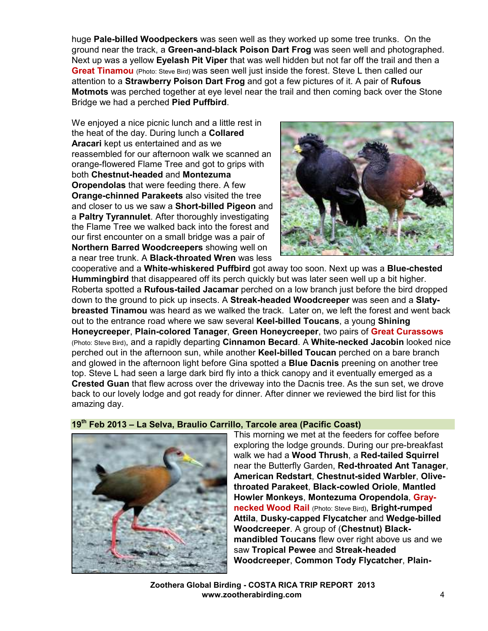huge **Pale-billed Woodpeckers** was seen well as they worked up some tree trunks. On the ground near the track, a **Green-and-black Poison Dart Frog** was seen well and photographed. Next up was a yellow **Eyelash Pit Viper** that was well hidden but not far off the trail and then a **Great Tinamou** (Photo: Steve Bird) was seen well just inside the forest. Steve L then called our attention to a **Strawberry Poison Dart Frog** and got a few pictures of it. A pair of **Rufous Motmots** was perched together at eye level near the trail and then coming back over the Stone Bridge we had a perched **Pied Puffbird**.

We enjoyed a nice picnic lunch and a little rest in the heat of the day. During lunch a **Collared Aracari** kept us entertained and as we reassembled for our afternoon walk we scanned an orange-flowered Flame Tree and got to grips with both **Chestnut-headed** and **Montezuma Oropendolas** that were feeding there. A few **Orange-chinned Parakeets** also visited the tree and closer to us we saw a **Short-billed Pigeon** and a **Paltry Tyrannulet**. After thoroughly investigating the Flame Tree we walked back into the forest and our first encounter on a small bridge was a pair of **Northern Barred Woodcreepers** showing well on a near tree trunk. A **Black-throated Wren** was less



cooperative and a **White-whiskered Puffbird** got away too soon. Next up was a **Blue-chested Hummingbird** that disappeared off its perch quickly but was later seen well up a bit higher. Roberta spotted a **Rufous-tailed Jacamar** perched on a low branch just before the bird dropped down to the ground to pick up insects. A **Streak-headed Woodcreeper** was seen and a **Slatybreasted Tinamou** was heard as we walked the track. Later on, we left the forest and went back out to the entrance road where we saw several **Keel-billed Toucans**, a young **Shining Honeycreeper**, **Plain-colored Tanager**, **Green Honeycreeper**, two pairs of **Great Curassows** (Photo: Steve Bird), and a rapidly departing **Cinnamon Becard**. A **White-necked Jacobin** looked nice perched out in the afternoon sun, while another **Keel-billed Toucan** perched on a bare branch and glowed in the afternoon light before Gina spotted a **Blue Dacnis** preening on another tree top. Steve L had seen a large dark bird fly into a thick canopy and it eventually emerged as a **Crested Guan** that flew across over the driveway into the Dacnis tree. As the sun set, we drove back to our lovely lodge and got ready for dinner. After dinner we reviewed the bird list for this amazing day.



#### **19th Feb 2013 – La Selva, Braulio Carrillo, Tarcole area (Pacific Coast)**

This morning we met at the feeders for coffee before exploring the lodge grounds. During our pre-breakfast walk we had a **Wood Thrush**, a **Red-tailed Squirrel** near the Butterfly Garden, **Red-throated Ant Tanager**, **American Redstart**, **Chestnut-sided Warbler**, **Olivethroated Parakeet**, **Black-cowled Oriole**, **Mantled Howler Monkeys**, **Montezuma Oropendola**, **Graynecked Wood Rail** (Photo: Steve Bird), **Bright-rumped Attila**, **Dusky-capped Flycatcher** and **Wedge-billed Woodcreeper**. A group of (**Chestnut) Blackmandibled Toucans** flew over right above us and we saw **Tropical Pewee** and **Streak-headed Woodcreeper**, **Common Tody Flycatcher**, **Plain-**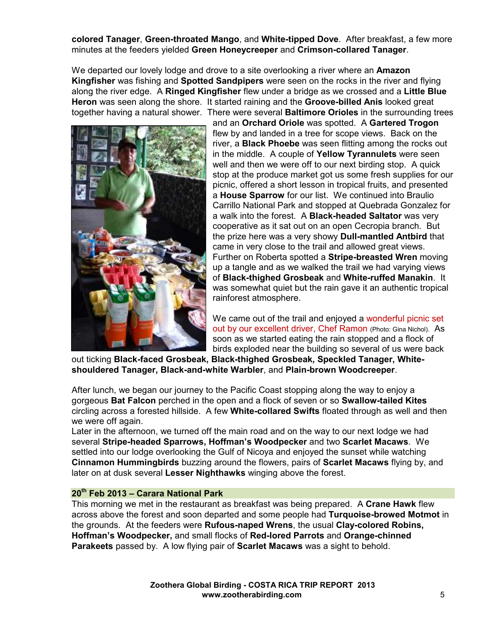**colored Tanager**, **Green-throated Mango**, and **White-tipped Dove**. After breakfast, a few more minutes at the feeders yielded **Green Honeycreeper** and **Crimson-collared Tanager**.

We departed our lovely lodge and drove to a site overlooking a river where an **Amazon Kingfisher** was fishing and **Spotted Sandpipers** were seen on the rocks in the river and flying along the river edge. A **Ringed Kingfisher** flew under a bridge as we crossed and a **Little Blue Heron** was seen along the shore. It started raining and the **Groove-billed Anis** looked great together having a natural shower. There were several **Baltimore Orioles** in the surrounding trees



and an **Orchard Oriole** was spotted. A **Gartered Trogon** flew by and landed in a tree for scope views. Back on the river, a **Black Phoebe** was seen flitting among the rocks out in the middle. A couple of **Yellow Tyrannulets** were seen well and then we were off to our next birding stop. A quick stop at the produce market got us some fresh supplies for our picnic, offered a short lesson in tropical fruits, and presented a **House Sparrow** for our list. We continued into Braulio Carrillo National Park and stopped at Quebrada Gonzalez for a walk into the forest. A **Black-headed Saltator** was very cooperative as it sat out on an open Cecropia branch. But the prize here was a very showy **Dull-mantled Antbird** that came in very close to the trail and allowed great views. Further on Roberta spotted a **Stripe-breasted Wren** moving up a tangle and as we walked the trail we had varying views of **Black-thighed Grosbeak** and **White-ruffed Manakin**. It was somewhat quiet but the rain gave it an authentic tropical rainforest atmosphere.

We came out of the trail and enjoyed a wonderful picnic set out by our excellent driver, Chef Ramon (Photo: Gina Nichol). As soon as we started eating the rain stopped and a flock of birds exploded near the building so several of us were back

out ticking **Black-faced Grosbeak, Black-thighed Grosbeak, Speckled Tanager, Whiteshouldered Tanager, Black-and-white Warbler**, and **Plain-brown Woodcreeper**.

After lunch, we began our journey to the Pacific Coast stopping along the way to enjoy a gorgeous **Bat Falcon** perched in the open and a flock of seven or so **Swallow-tailed Kites** circling across a forested hillside. A few **White-collared Swifts** floated through as well and then we were off again.

Later in the afternoon, we turned off the main road and on the way to our next lodge we had several **Stripe-headed Sparrows, Hoffman's Woodpecker** and two **Scarlet Macaws**. We settled into our lodge overlooking the Gulf of Nicoya and enjoyed the sunset while watching **Cinnamon Hummingbirds** buzzing around the flowers, pairs of **Scarlet Macaws** flying by, and later on at dusk several **Lesser Nighthawks** winging above the forest.

#### **20th Feb 2013 – Carara National Park**

This morning we met in the restaurant as breakfast was being prepared. A **Crane Hawk** flew across above the forest and soon departed and some people had **Turquoise-browed Motmot** in the grounds. At the feeders were **Rufous-naped Wrens**, the usual **Clay-colored Robins, Hoffman's Woodpecker,** and small flocks of **Red-lored Parrots** and **Orange-chinned Parakeets** passed by. A low flying pair of **Scarlet Macaws** was a sight to behold.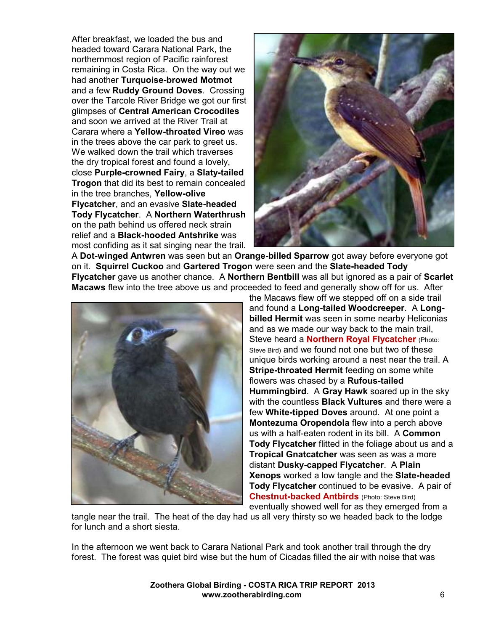After breakfast, we loaded the bus and headed toward Carara National Park, the northernmost region of Pacific rainforest remaining in Costa Rica. On the way out we had another **Turquoise-browed Motmot** and a few **Ruddy Ground Doves**. Crossing over the Tarcole River Bridge we got our first glimpses of **Central American Crocodiles** and soon we arrived at the River Trail at Carara where a **Yellow-throated Vireo** was in the trees above the car park to greet us. We walked down the trail which traverses the dry tropical forest and found a lovely, close **Purple-crowned Fairy**, a **Slaty-tailed Trogon** that did its best to remain concealed in the tree branches, **Yellow-olive Flycatcher**, and an evasive **Slate-headed Tody Flycatcher**. A **Northern Waterthrush** on the path behind us offered neck strain relief and a **Black-hooded Antshrike** was most confiding as it sat singing near the trail.



A **Dot-winged Antwren** was seen but an **Orange-billed Sparrow** got away before everyone got on it. **Squirrel Cuckoo** and **Gartered Trogon** were seen and the **Slate-headed Tody Flycatcher** gave us another chance. A **Northern Bentbill** was all but ignored as a pair of **Scarlet Macaws** flew into the tree above us and proceeded to feed and generally show off for us. After



the Macaws flew off we stepped off on a side trail and found a **Long-tailed Woodcreeper**. A **Longbilled Hermit** was seen in some nearby Heliconias and as we made our way back to the main trail, Steve heard a **Northern Royal Flycatcher** (Photo: Steve Bird) and we found not one but two of these unique birds working around a nest near the trail. A **Stripe-throated Hermit feeding on some white** flowers was chased by a **Rufous-tailed Hummingbird**. A **Gray Hawk** soared up in the sky with the countless **Black Vultures** and there were a few **White-tipped Doves** around. At one point a **Montezuma Oropendola** flew into a perch above us with a half-eaten rodent in its bill. A **Common Tody Flycatcher** flitted in the foliage about us and a **Tropical Gnatcatcher** was seen as was a more distant **Dusky-capped Flycatcher**. A **Plain Xenops** worked a low tangle and the **Slate-headed Tody Flycatcher** continued to be evasive. A pair of **Chestnut-backed Antbirds** (Photo: Steve Bird) eventually showed well for as they emerged from a

tangle near the trail. The heat of the day had us all very thirsty so we headed back to the lodge for lunch and a short siesta.

In the afternoon we went back to Carara National Park and took another trail through the dry forest. The forest was quiet bird wise but the hum of Cicadas filled the air with noise that was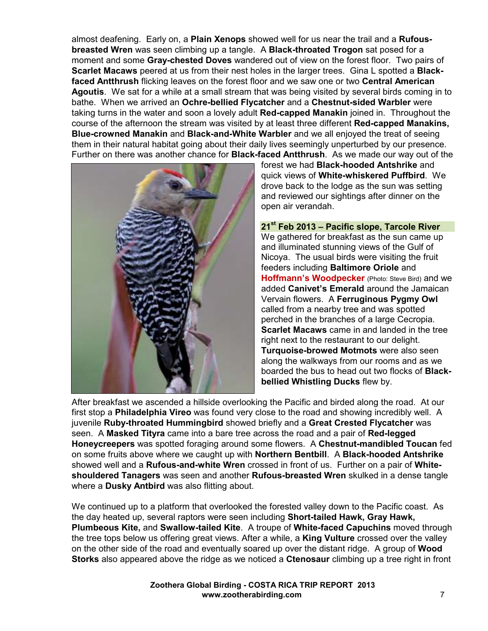almost deafening. Early on, a **Plain Xenops** showed well for us near the trail and a **Rufousbreasted Wren** was seen climbing up a tangle. A **Black-throated Trogon** sat posed for a moment and some **Gray-chested Doves** wandered out of view on the forest floor. Two pairs of **Scarlet Macaws** peered at us from their nest holes in the larger trees. Gina L spotted a **Blackfaced Antthrush** flicking leaves on the forest floor and we saw one or two **Central American Agoutis**. We sat for a while at a small stream that was being visited by several birds coming in to bathe. When we arrived an **Ochre-bellied Flycatcher** and a **Chestnut-sided Warbler** were taking turns in the water and soon a lovely adult **Red-capped Manakin** joined in. Throughout the course of the afternoon the stream was visited by at least three different **Red-capped Manakins, Blue-crowned Manakin** and **Black-and-White Warbler** and we all enjoyed the treat of seeing them in their natural habitat going about their daily lives seemingly unperturbed by our presence. Further on there was another chance for **Black-faced Antthrush**. As we made our way out of the



forest we had **Black-hooded Antshrike** and quick views of **White-whiskered Puffbird**. We drove back to the lodge as the sun was setting and reviewed our sightings after dinner on the open air verandah.

**21st Feb 2013 – Pacific slope, Tarcole River**  We gathered for breakfast as the sun came up and illuminated stunning views of the Gulf of Nicoya. The usual birds were visiting the fruit feeders including **Baltimore Oriole** and **Hoffmann's Woodpecker** (Photo: Steve Bird) and we added **Canivet's Emerald** around the Jamaican Vervain flowers. A **Ferruginous Pygmy Owl** called from a nearby tree and was spotted perched in the branches of a large Cecropia. **Scarlet Macaws** came in and landed in the tree right next to the restaurant to our delight. **Turquoise-browed Motmots** were also seen along the walkways from our rooms and as we boarded the bus to head out two flocks of **Blackbellied Whistling Ducks** flew by.

After breakfast we ascended a hillside overlooking the Pacific and birded along the road. At our first stop a **Philadelphia Vireo** was found very close to the road and showing incredibly well. A juvenile **Ruby-throated Hummingbird** showed briefly and a **Great Crested Flycatcher** was seen. A **Masked Tityra** came into a bare tree across the road and a pair of **Red-legged Honeycreepers** was spotted foraging around some flowers. A **Chestnut-mandibled Toucan** fed on some fruits above where we caught up with **Northern Bentbill**. A **Black-hooded Antshrike** showed well and a **Rufous-and-white Wren** crossed in front of us. Further on a pair of **Whiteshouldered Tanagers** was seen and another **Rufous-breasted Wren** skulked in a dense tangle where a **Dusky Antbird** was also flitting about.

We continued up to a platform that overlooked the forested valley down to the Pacific coast. As the day heated up, several raptors were seen including **Short-tailed Hawk, Gray Hawk, Plumbeous Kite,** and **Swallow-tailed Kite**. A troupe of **White-faced Capuchins** moved through the tree tops below us offering great views. After a while, a **King Vulture** crossed over the valley on the other side of the road and eventually soared up over the distant ridge. A group of **Wood Storks** also appeared above the ridge as we noticed a **Ctenosaur** climbing up a tree right in front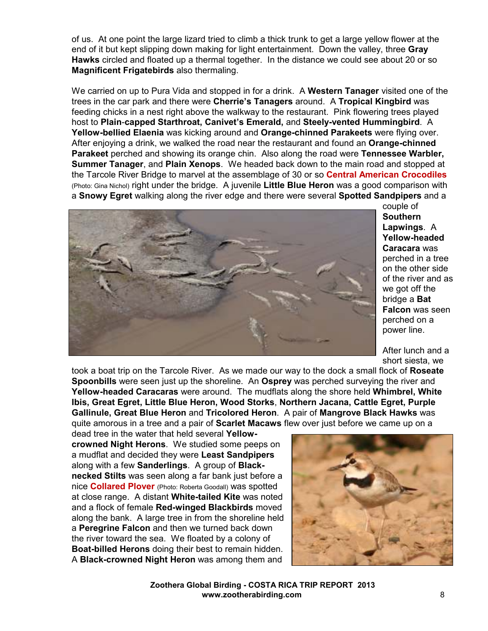of us. At one point the large lizard tried to climb a thick trunk to get a large yellow flower at the end of it but kept slipping down making for light entertainment. Down the valley, three **Gray Hawks** circled and floated up a thermal together. In the distance we could see about 20 or so **Magnificent Frigatebirds** also thermaling.

We carried on up to Pura Vida and stopped in for a drink. A **Western Tanager** visited one of the trees in the car park and there were **Cherrie's Tanagers** around. A **Tropical Kingbird** was feeding chicks in a nest right above the walkway to the restaurant. Pink flowering trees played host to **Plain**-**capped Starthroat, Canivet's Emerald,** and **Steely-vented Hummingbird**. A **Yellow-bellied Elaenia** was kicking around and **Orange-chinned Parakeets** were flying over. After enjoying a drink, we walked the road near the restaurant and found an **Orange-chinned Parakeet** perched and showing its orange chin. Also along the road were **Tennessee Warbler, Summer Tanager**, and **Plain Xenops**. We headed back down to the main road and stopped at the Tarcole River Bridge to marvel at the assemblage of 30 or so **Central American Crocodiles** (Photo: Gina Nichol) right under the bridge. A juvenile **Little Blue Heron** was a good comparison with a **Snowy Egret** walking along the river edge and there were several **Spotted Sandpipers** and a



couple of **Southern Lapwings**. A **Yellow-headed Caracara** was perched in a tree on the other side of the river and as we got off the bridge a **Bat Falcon** was seen perched on a power line.

After lunch and a short siesta, we

took a boat trip on the Tarcole River. As we made our way to the dock a small flock of **Roseate Spoonbills** were seen just up the shoreline. An **Osprey** was perched surveying the river and **Yellow-headed Caracaras** were around. The mudflats along the shore held **Whimbrel, White Ibis, Great Egret, Little Blue Heron, Wood Storks**, **Northern Jacana, Cattle Egret, Purple Gallinule, Great Blue Heron** and **Tricolored Heron**. A pair of **Mangrove Black Hawks** was quite amorous in a tree and a pair of **Scarlet Macaws** flew over just before we came up on a

dead tree in the water that held several **Yellowcrowned Night Herons**. We studied some peeps on a mudflat and decided they were **Least Sandpipers** along with a few **Sanderlings**. A group of **Blacknecked Stilts** was seen along a far bank just before a nice **Collared Plover** (Photo: Roberta Goodall) was spotted at close range. A distant **White-tailed Kite** was noted and a flock of female **Red-winged Blackbirds** moved along the bank. A large tree in from the shoreline held a **Peregrine Falcon** and then we turned back down the river toward the sea. We floated by a colony of **Boat-billed Herons** doing their best to remain hidden. A **Black-crowned Night Heron** was among them and

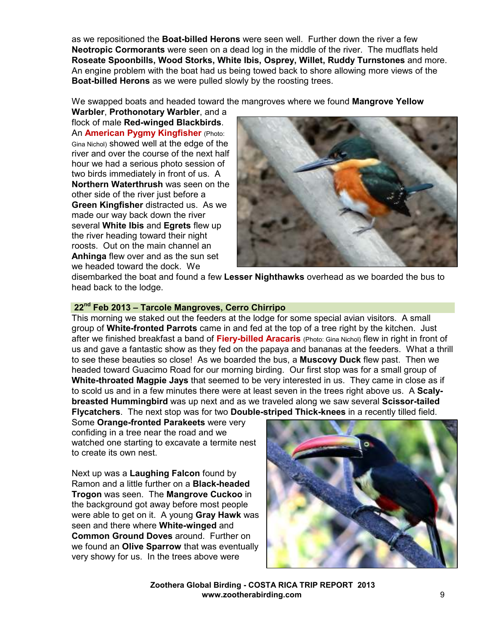as we repositioned the **Boat-billed Herons** were seen well. Further down the river a few **Neotropic Cormorants** were seen on a dead log in the middle of the river. The mudflats held **Roseate Spoonbills, Wood Storks, White Ibis, Osprey, Willet, Ruddy Turnstones** and more. An engine problem with the boat had us being towed back to shore allowing more views of the **Boat-billed Herons** as we were pulled slowly by the roosting trees.

We swapped boats and headed toward the mangroves where we found **Mangrove Yellow** 

**Warbler**, **Prothonotary Warbler**, and a flock of male **Red-winged Blackbirds**. An **American Pygmy Kingfisher** (Photo: Gina Nichol) showed well at the edge of the river and over the course of the next half hour we had a serious photo session of two birds immediately in front of us. A **Northern Waterthrush** was seen on the other side of the river just before a **Green Kingfisher** distracted us. As we made our way back down the river several **White Ibis** and **Egrets** flew up the river heading toward their night roosts. Out on the main channel an **Anhinga** flew over and as the sun set we headed toward the dock. We



disembarked the boat and found a few **Lesser Nighthawks** overhead as we boarded the bus to head back to the lodge.

#### **22nd Feb 2013 – Tarcole Mangroves, Cerro Chirripo**

This morning we staked out the feeders at the lodge for some special avian visitors. A small group of **White-fronted Parrots** came in and fed at the top of a tree right by the kitchen. Just after we finished breakfast a band of **Fiery-billed Aracaris** (Photo: Gina Nichol) flew in right in front of us and gave a fantastic show as they fed on the papaya and bananas at the feeders. What a thrill to see these beauties so close! As we boarded the bus, a **Muscovy Duck** flew past. Then we headed toward Guacimo Road for our morning birding. Our first stop was for a small group of **White-throated Magpie Jays** that seemed to be very interested in us. They came in close as if to scold us and in a few minutes there were at least seven in the trees right above us. A **Scalybreasted Hummingbird** was up next and as we traveled along we saw several **Scissor-tailed Flycatchers**. The next stop was for two **Double-striped Thick-knees** in a recently tilled field.

Some **Orange-fronted Parakeets** were very confiding in a tree near the road and we watched one starting to excavate a termite nest to create its own nest.

Next up was a **Laughing Falcon** found by Ramon and a little further on a **Black-headed Trogon** was seen. The **Mangrove Cuckoo** in the background got away before most people were able to get on it. A young **Gray Hawk** was seen and there where **White-winged** and **Common Ground Doves** around. Further on we found an **Olive Sparrow** that was eventually very showy for us. In the trees above were

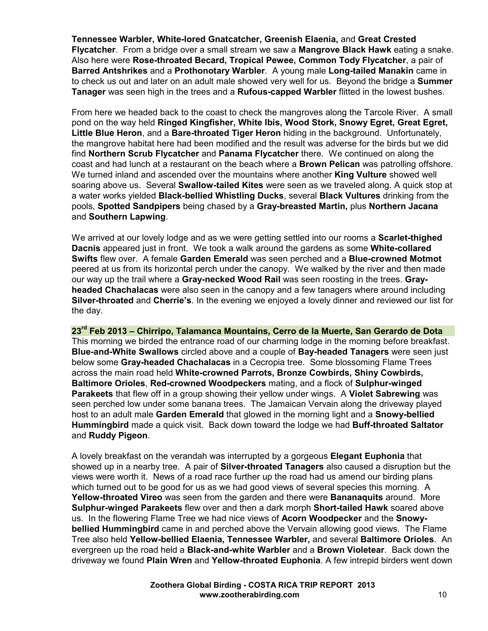**Tennessee Warbler, White-lored Gnatcatcher, Greenish Elaenia,** and **Great Crested Flycatcher**. From a bridge over a small stream we saw a **Mangrove Black Hawk** eating a snake. Also here were **Rose-throated Becard, Tropical Pewee, Common Tody Flycatcher**, a pair of **Barred Antshrikes** and a **Prothonotary Warbler**. A young male **Long-tailed Manakin** came in to check us out and later on an adult male showed very well for us. Beyond the bridge a **Summer Tanager** was seen high in the trees and a **Rufous-capped Warbler** flitted in the lowest bushes.

From here we headed back to the coast to check the mangroves along the Tarcole River. A small pond on the way held **Ringed Kingfisher, White Ibis, Wood Stork, Snowy Egret, Great Egret, Little Blue Heron**, and a **Bare-throated Tiger Heron** hiding in the background. Unfortunately, the mangrove habitat here had been modified and the result was adverse for the birds but we did find **Northern Scrub Flycatcher** and **Panama Flycatcher** there. We continued on along the coast and had lunch at a restaurant on the beach where a **Brown Pelican** was patrolling offshore. We turned inland and ascended over the mountains where another **King Vulture** showed well soaring above us. Several **Swallow-tailed Kites** were seen as we traveled along. A quick stop at a water works yielded **Black-bellied Whistling Ducks**, several **Black Vultures** drinking from the pools, **Spotted Sandpipers** being chased by a **Gray-breasted Martin,** plus **Northern Jacana** and **Southern Lapwing**.

We arrived at our lovely lodge and as we were getting settled into our rooms a **Scarlet-thighed Dacnis** appeared just in front. We took a walk around the gardens as some **White-collared Swifts** flew over. A female **Garden Emerald** was seen perched and a **Blue-crowned Motmot** peered at us from its horizontal perch under the canopy. We walked by the river and then made our way up the trail where a **Gray-necked Wood Rail** was seen roosting in the trees. **Grayheaded Chachalacas** were also seen in the canopy and a few tanagers where around including **Silver-throated** and **Cherrie's**. In the evening we enjoyed a lovely dinner and reviewed our list for the day.

**23rd Feb 2013 – Chirripo, Talamanca Mountains, Cerro de la Muerte, San Gerardo de Dota**  This morning we birded the entrance road of our charming lodge in the morning before breakfast. **Blue-and-White Swallows** circled above and a couple of **Bay-headed Tanagers** were seen just below some **Gray-headed Chachalacas** in a Cecropia tree. Some blossoming Flame Trees across the main road held **White-crowned Parrots, Bronze Cowbirds, Shiny Cowbirds, Baltimore Orioles**, **Red-crowned Woodpeckers** mating, and a flock of **Sulphur-winged Parakeets** that flew off in a group showing their yellow under wings. A **Violet Sabrewing** was seen perched low under some banana trees. The Jamaican Vervain along the driveway played host to an adult male **Garden Emerald** that glowed in the morning light and a **Snowy-bellied Hummingbird** made a quick visit. Back down toward the lodge we had **Buff-throated Saltator** and **Ruddy Pigeon**.

A lovely breakfast on the verandah was interrupted by a gorgeous **Elegant Euphonia** that showed up in a nearby tree. A pair of **Silver-throated Tanagers** also caused a disruption but the views were worth it. News of a road race further up the road had us amend our birding plans which turned out to be good for us as we had good views of several species this morning. A **Yellow-throated Vireo** was seen from the garden and there were **Bananaquits** around. More **Sulphur-winged Parakeets** flew over and then a dark morph **Short-tailed Hawk** soared above us. In the flowering Flame Tree we had nice views of **Acorn Woodpecker** and the **Snowybellied Hummingbird** came in and perched above the Vervain allowing good views. The Flame Tree also held **Yellow-bellied Elaenia, Tennessee Warbler,** and several **Baltimore Orioles**. An evergreen up the road held a **Black-and-white Warbler** and a **Brown Violetear**. Back down the driveway we found **Plain Wren** and **Yellow-throated Euphonia**. A few intrepid birders went down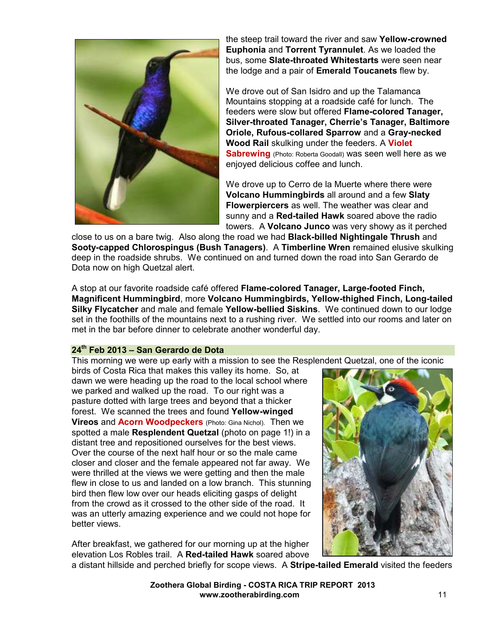

the steep trail toward the river and saw **Yellow-crowned Euphonia** and **Torrent Tyrannulet**. As we loaded the bus, some **Slate-throated Whitestarts** were seen near the lodge and a pair of **Emerald Toucanets** flew by.

We drove out of San Isidro and up the Talamanca Mountains stopping at a roadside café for lunch. The feeders were slow but offered **Flame-colored Tanager, Silver-throated Tanager, Cherrie's Tanager, Baltimore Oriole, Rufous-collared Sparrow** and a **Gray-necked Wood Rail** skulking under the feeders. A **Violet Sabrewing** (Photo: Roberta Goodall) was seen well here as we enjoyed delicious coffee and lunch.

We drove up to Cerro de la Muerte where there were **Volcano Hummingbirds** all around and a few **Slaty Flowerpiercers** as well. The weather was clear and sunny and a **Red-tailed Hawk** soared above the radio towers. A **Volcano Junco** was very showy as it perched

close to us on a bare twig. Also along the road we had **Black-billed Nightingale Thrush** and **Sooty-capped Chlorospingus (Bush Tanagers)**. A **Timberline Wren** remained elusive skulking deep in the roadside shrubs. We continued on and turned down the road into San Gerardo de Dota now on high Quetzal alert.

A stop at our favorite roadside café offered **Flame-colored Tanager, Large-footed Finch, Magnificent Hummingbird**, more **Volcano Hummingbirds, Yellow-thighed Finch, Long-tailed Silky Flycatcher** and male and female **Yellow-bellied Siskins**. We continued down to our lodge set in the foothills of the mountains next to a rushing river. We settled into our rooms and later on met in the bar before dinner to celebrate another wonderful day.

#### **24th Feb 2013 – San Gerardo de Dota**

This morning we were up early with a mission to see the Resplendent Quetzal, one of the iconic

birds of Costa Rica that makes this valley its home. So, at dawn we were heading up the road to the local school where we parked and walked up the road. To our right was a pasture dotted with large trees and beyond that a thicker forest. We scanned the trees and found **Yellow-winged Vireos** and **Acorn Woodpeckers** (Photo: Gina Nichol). Then we spotted a male **Resplendent Quetzal** (photo on page 1!) in a distant tree and repositioned ourselves for the best views. Over the course of the next half hour or so the male came closer and closer and the female appeared not far away. We were thrilled at the views we were getting and then the male flew in close to us and landed on a low branch. This stunning bird then flew low over our heads eliciting gasps of delight from the crowd as it crossed to the other side of the road. It was an utterly amazing experience and we could not hope for better views.

After breakfast, we gathered for our morning up at the higher elevation Los Robles trail. A **Red-tailed Hawk** soared above



a distant hillside and perched briefly for scope views. A **Stripe-tailed Emerald** visited the feeders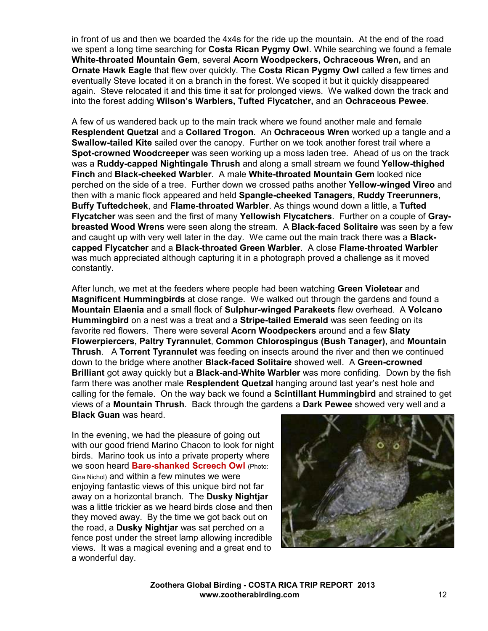in front of us and then we boarded the 4x4s for the ride up the mountain. At the end of the road we spent a long time searching for **Costa Rican Pygmy Owl**. While searching we found a female **White-throated Mountain Gem**, several **Acorn Woodpeckers, Ochraceous Wren,** and an **Ornate Hawk Eagle** that flew over quickly. The **Costa Rican Pygmy Owl** called a few times and eventually Steve located it on a branch in the forest. We scoped it but it quickly disappeared again. Steve relocated it and this time it sat for prolonged views. We walked down the track and into the forest adding **Wilson's Warblers, Tufted Flycatcher,** and an **Ochraceous Pewee**.

A few of us wandered back up to the main track where we found another male and female **Resplendent Quetzal** and a **Collared Trogon**. An **Ochraceous Wren** worked up a tangle and a **Swallow-tailed Kite** sailed over the canopy. Further on we took another forest trail where a **Spot-crowned Woodcreeper** was seen working up a moss laden tree. Ahead of us on the track was a **Ruddy-capped Nightingale Thrush** and along a small stream we found **Yellow-thighed Finch** and **Black-cheeked Warbler**. A male **White-throated Mountain Gem** looked nice perched on the side of a tree. Further down we crossed paths another **Yellow-winged Vireo** and then with a manic flock appeared and held **Spangle-cheeked Tanagers, Ruddy Treerunners, Buffy Tuftedcheek**, and **Flame-throated Warbler**. As things wound down a little, a **Tufted Flycatcher** was seen and the first of many **Yellowish Flycatchers**. Further on a couple of **Graybreasted Wood Wrens** were seen along the stream. A **Black-faced Solitaire** was seen by a few and caught up with very well later in the day. We came out the main track there was a **Blackcapped Flycatcher** and a **Black-throated Green Warbler**. A close **Flame-throated Warbler** was much appreciated although capturing it in a photograph proved a challenge as it moved constantly.

After lunch, we met at the feeders where people had been watching **Green Violetear** and **Magnificent Hummingbirds** at close range. We walked out through the gardens and found a **Mountain Elaenia** and a small flock of **Sulphur-winged Parakeets** flew overhead. A **Volcano Hummingbird** on a nest was a treat and a **Stripe-tailed Emerald** was seen feeding on its favorite red flowers. There were several **Acorn Woodpeckers** around and a few **Slaty Flowerpiercers, Paltry Tyrannulet**, **Common Chlorospingus (Bush Tanager),** and **Mountain Thrush**. A **Torrent Tyrannulet** was feeding on insects around the river and then we continued down to the bridge where another **Black-faced Solitaire** showed well. A **Green-crowned Brilliant** got away quickly but a **Black-and-White Warbler** was more confiding. Down by the fish farm there was another male **Resplendent Quetzal** hanging around last year's nest hole and calling for the female. On the way back we found a **Scintillant Hummingbird** and strained to get views of a **Mountain Thrush**. Back through the gardens a **Dark Pewee** showed very well and a **Black Guan** was heard.

In the evening, we had the pleasure of going out with our good friend Marino Chacon to look for night birds. Marino took us into a private property where we soon heard **Bare-shanked Screech Owl** (Photo: Gina Nichol) and within a few minutes we were enjoying fantastic views of this unique bird not far away on a horizontal branch. The **Dusky Nightjar** was a little trickier as we heard birds close and then they moved away. By the time we got back out on the road, a **Dusky Nightjar** was sat perched on a fence post under the street lamp allowing incredible views. It was a magical evening and a great end to a wonderful day.

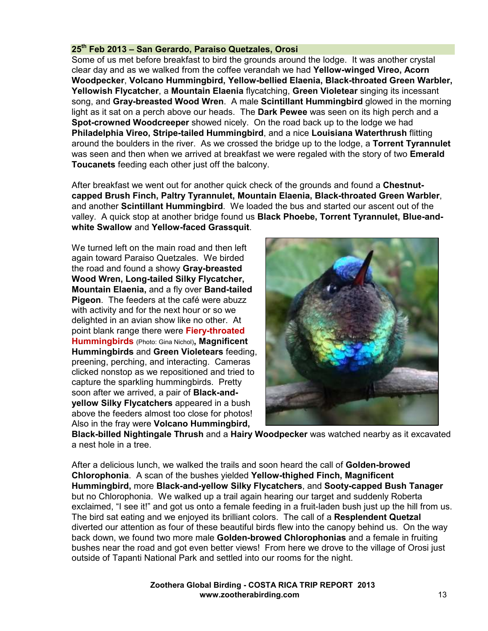#### **25th Feb 2013 – San Gerardo, Paraiso Quetzales, Orosi**

Some of us met before breakfast to bird the grounds around the lodge. It was another crystal clear day and as we walked from the coffee verandah we had **Yellow-winged Vireo, Acorn Woodpecker**, **Volcano Hummingbird, Yellow-bellied Elaenia, Black-throated Green Warbler, Yellowish Flycatcher**, a **Mountain Elaenia** flycatching, **Green Violetear** singing its incessant song, and **Gray-breasted Wood Wren**. A male **Scintillant Hummingbird** glowed in the morning light as it sat on a perch above our heads. The **Dark Pewee** was seen on its high perch and a **Spot-crowned Woodcreeper** showed nicely. On the road back up to the lodge we had **Philadelphia Vireo, Stripe-tailed Hummingbird**, and a nice **Louisiana Waterthrush** flitting around the boulders in the river. As we crossed the bridge up to the lodge, a **Torrent Tyrannulet** was seen and then when we arrived at breakfast we were regaled with the story of two **Emerald Toucanets** feeding each other just off the balcony.

After breakfast we went out for another quick check of the grounds and found a **Chestnutcapped Brush Finch, Paltry Tyrannulet, Mountain Elaenia, Black-throated Green Warbler**, and another **Scintillant Hummingbird**. We loaded the bus and started our ascent out of the valley. A quick stop at another bridge found us **Black Phoebe, Torrent Tyrannulet, Blue-andwhite Swallow** and **Yellow-faced Grassquit**.

We turned left on the main road and then left again toward Paraiso Quetzales. We birded the road and found a showy **Gray-breasted Wood Wren, Long-tailed Silky Flycatcher, Mountain Elaenia,** and a fly over **Band-tailed Pigeon**. The feeders at the café were abuzz with activity and for the next hour or so we delighted in an avian show like no other. At point blank range there were **Fiery-throated Hummingbirds** (Photo: Gina Nichol)**, Magnificent Hummingbirds** and **Green Violetears** feeding, preening, perching, and interacting. Cameras clicked nonstop as we repositioned and tried to capture the sparkling hummingbirds. Pretty soon after we arrived, a pair of **Black-andyellow Silky Flycatchers** appeared in a bush above the feeders almost too close for photos! Also in the fray were **Volcano Hummingbird,** 



**Black-billed Nightingale Thrush** and a **Hairy Woodpecker** was watched nearby as it excavated a nest hole in a tree.

After a delicious lunch, we walked the trails and soon heard the call of **Golden-browed Chlorophonia**. A scan of the bushes yielded **Yellow-thighed Finch, Magnificent Hummingbird,** more **Black-and-yellow Silky Flycatchers**, and **Sooty-capped Bush Tanager** but no Chlorophonia. We walked up a trail again hearing our target and suddenly Roberta exclaimed, "I see it!" and got us onto a female feeding in a fruit-laden bush just up the hill from us. The bird sat eating and we enjoyed its brilliant colors. The call of a **Resplendent Quetzal** diverted our attention as four of these beautiful birds flew into the canopy behind us. On the way back down, we found two more male **Golden-browed Chlorophonias** and a female in fruiting bushes near the road and got even better views! From here we drove to the village of Orosi just outside of Tapanti National Park and settled into our rooms for the night.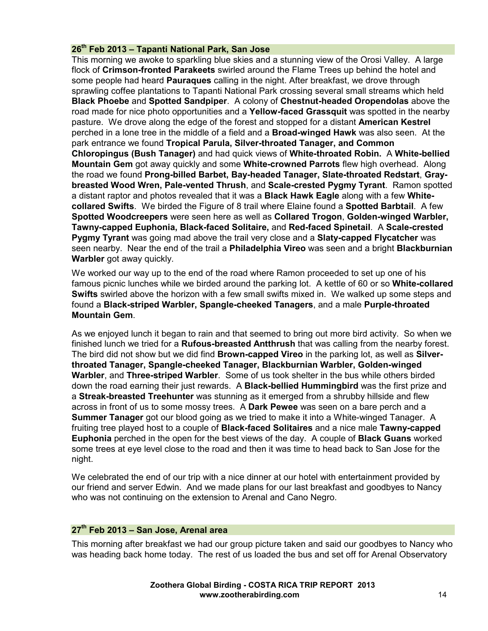#### **26th Feb 2013 – Tapanti National Park, San Jose**

This morning we awoke to sparkling blue skies and a stunning view of the Orosi Valley. A large flock of **Crimson-fronted Parakeets** swirled around the Flame Trees up behind the hotel and some people had heard **Pauraques** calling in the night. After breakfast, we drove through sprawling coffee plantations to Tapanti National Park crossing several small streams which held **Black Phoebe** and **Spotted Sandpiper**. A colony of **Chestnut-headed Oropendolas** above the road made for nice photo opportunities and a **Yellow-faced Grassquit** was spotted in the nearby pasture. We drove along the edge of the forest and stopped for a distant **American Kestrel** perched in a lone tree in the middle of a field and a **Broad-winged Hawk** was also seen. At the park entrance we found **Tropical Parula, Silver-throated Tanager, and Common Chloropingus (Bush Tanager)** and had quick views of **White-throated Robin.** A **White-bellied Mountain Gem** got away quickly and some **White-crowned Parrots** flew high overhead. Along the road we found **Prong-billed Barbet, Bay-headed Tanager, Slate-throated Redstart**, **Graybreasted Wood Wren, Pale-vented Thrush**, and **Scale-crested Pygmy Tyrant**. Ramon spotted a distant raptor and photos revealed that it was a **Black Hawk Eagle** along with a few **Whitecollared Swifts**. We birded the Figure of 8 trail where Elaine found a **Spotted Barbtail**. A few **Spotted Woodcreepers** were seen here as well as **Collared Trogon**, **Golden-winged Warbler, Tawny-capped Euphonia, Black-faced Solitaire,** and **Red-faced Spinetail**. A **Scale-crested Pygmy Tyrant** was going mad above the trail very close and a **Slaty-capped Flycatcher** was seen nearby. Near the end of the trail a **Philadelphia Vireo** was seen and a bright **Blackburnian Warbler** got away quickly.

We worked our way up to the end of the road where Ramon proceeded to set up one of his famous picnic lunches while we birded around the parking lot. A kettle of 60 or so **White-collared Swifts** swirled above the horizon with a few small swifts mixed in. We walked up some steps and found a **Black-striped Warbler, Spangle-cheeked Tanagers**, and a male **Purple-throated Mountain Gem**.

As we enjoyed lunch it began to rain and that seemed to bring out more bird activity. So when we finished lunch we tried for a **Rufous-breasted Antthrush** that was calling from the nearby forest. The bird did not show but we did find **Brown-capped Vireo** in the parking lot, as well as **Silverthroated Tanager, Spangle-cheeked Tanager, Blackburnian Warbler, Golden-winged Warbler**, and **Three-striped Warbler**. Some of us took shelter in the bus while others birded down the road earning their just rewards. A **Black-bellied Hummingbird** was the first prize and a **Streak-breasted Treehunter** was stunning as it emerged from a shrubby hillside and flew across in front of us to some mossy trees. A **Dark Pewee** was seen on a bare perch and a **Summer Tanager** got our blood going as we tried to make it into a White-winged Tanager. A fruiting tree played host to a couple of **Black-faced Solitaires** and a nice male **Tawny-capped Euphonia** perched in the open for the best views of the day. A couple of **Black Guans** worked some trees at eye level close to the road and then it was time to head back to San Jose for the night.

We celebrated the end of our trip with a nice dinner at our hotel with entertainment provided by our friend and server Edwin. And we made plans for our last breakfast and goodbyes to Nancy who was not continuing on the extension to Arenal and Cano Negro.

#### **27th Feb 2013 – San Jose, Arenal area**

This morning after breakfast we had our group picture taken and said our goodbyes to Nancy who was heading back home today. The rest of us loaded the bus and set off for Arenal Observatory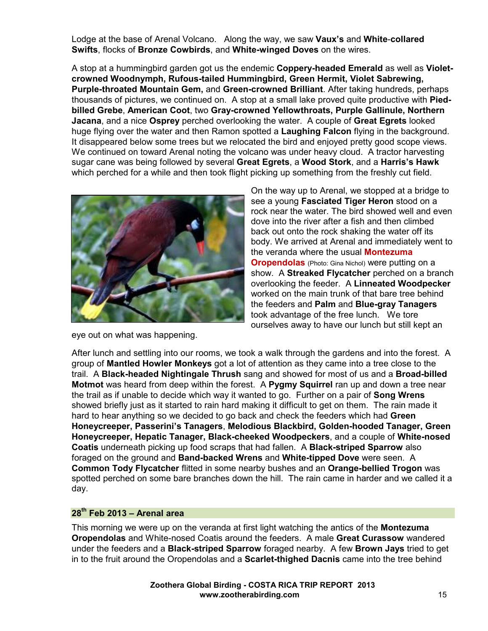Lodge at the base of Arenal Volcano. Along the way, we saw **Vaux's** and **White**-**collared Swifts**, flocks of **Bronze Cowbirds**, and **White-winged Doves** on the wires.

A stop at a hummingbird garden got us the endemic **Coppery-headed Emerald** as well as **Violetcrowned Woodnymph, Rufous-tailed Hummingbird, Green Hermit, Violet Sabrewing, Purple-throated Mountain Gem,** and **Green-crowned Brilliant**. After taking hundreds, perhaps thousands of pictures, we continued on. A stop at a small lake proved quite productive with **Piedbilled Grebe**, **American Coot**, two **Gray-crowned Yellowthroats, Purple Gallinule, Northern Jacana**, and a nice **Osprey** perched overlooking the water. A couple of **Great Egrets** looked huge flying over the water and then Ramon spotted a **Laughing Falcon** flying in the background. It disappeared below some trees but we relocated the bird and enjoyed pretty good scope views. We continued on toward Arenal noting the volcano was under heavy cloud. A tractor harvesting sugar cane was being followed by several **Great Egrets**, a **Wood Stork**, and a **Harris's Hawk** which perched for a while and then took flight picking up something from the freshly cut field.



eye out on what was happening.

On the way up to Arenal, we stopped at a bridge to see a young **Fasciated Tiger Heron** stood on a rock near the water. The bird showed well and even dove into the river after a fish and then climbed back out onto the rock shaking the water off its body. We arrived at Arenal and immediately went to the veranda where the usual **Montezuma Oropendolas** (Photo: Gina Nichol) were putting on a show. A **Streaked Flycatcher** perched on a branch overlooking the feeder. A **Linneated Woodpecker** worked on the main trunk of that bare tree behind the feeders and **Palm** and **Blue-gray Tanagers** took advantage of the free lunch. We tore ourselves away to have our lunch but still kept an

After lunch and settling into our rooms, we took a walk through the gardens and into the forest. A group of **Mantled Howler Monkeys** got a lot of attention as they came into a tree close to the trail. A **Black-headed Nightingale Thrush** sang and showed for most of us and a **Broad-billed Motmot** was heard from deep within the forest. A **Pygmy Squirrel** ran up and down a tree near the trail as if unable to decide which way it wanted to go. Further on a pair of **Song Wrens** showed briefly just as it started to rain hard making it difficult to get on them. The rain made it hard to hear anything so we decided to go back and check the feeders which had **Green Honeycreeper, Passerini's Tanagers**, **Melodious Blackbird, Golden-hooded Tanager, Green Honeycreeper, Hepatic Tanager, Black-cheeked Woodpeckers**, and a couple of **White-nosed Coatis** underneath picking up food scraps that had fallen. A **Black-striped Sparrow** also foraged on the ground and **Band-backed Wrens** and **White-tipped Dove** were seen. A **Common Tody Flycatcher** flitted in some nearby bushes and an **Orange-bellied Trogon** was spotted perched on some bare branches down the hill. The rain came in harder and we called it a day.

#### **28th Feb 2013 – Arenal area**

This morning we were up on the veranda at first light watching the antics of the **Montezuma Oropendolas** and White-nosed Coatis around the feeders. A male **Great Curassow** wandered under the feeders and a **Black-striped Sparrow** foraged nearby. A few **Brown Jays** tried to get in to the fruit around the Oropendolas and a **Scarlet-thighed Dacnis** came into the tree behind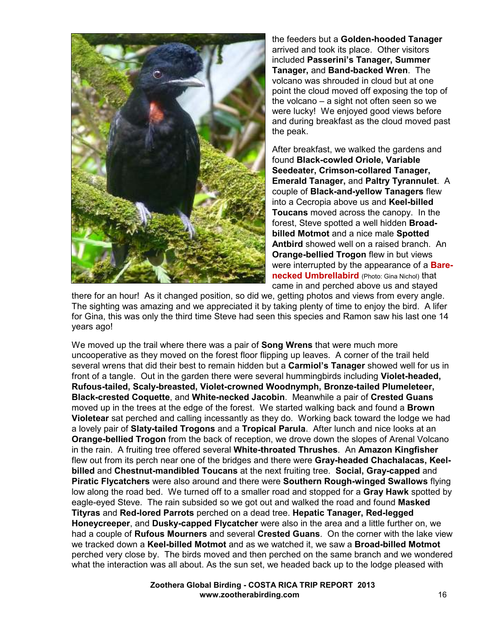

the feeders but a **Golden-hooded Tanager** arrived and took its place. Other visitors included **Passerini's Tanager, Summer Tanager,** and **Band-backed Wren**. The volcano was shrouded in cloud but at one point the cloud moved off exposing the top of the volcano – a sight not often seen so we were lucky! We enjoyed good views before and during breakfast as the cloud moved past the peak.

After breakfast, we walked the gardens and found **Black-cowled Oriole, Variable Seedeater, Crimson-collared Tanager, Emerald Tanager,** and **Paltry Tyrannulet**. A couple of **Black-and-yellow Tanagers** flew into a Cecropia above us and **Keel-billed Toucans** moved across the canopy. In the forest, Steve spotted a well hidden **Broadbilled Motmot** and a nice male **Spotted Antbird** showed well on a raised branch. An **Orange-bellied Trogon** flew in but views were interrupted by the appearance of a **Barenecked Umbrellabird** (Photo: Gina Nichol) that came in and perched above us and stayed

there for an hour! As it changed position, so did we, getting photos and views from every angle. The sighting was amazing and we appreciated it by taking plenty of time to enjoy the bird. A lifer for Gina, this was only the third time Steve had seen this species and Ramon saw his last one 14 years ago!

We moved up the trail where there was a pair of **Song Wrens** that were much more uncooperative as they moved on the forest floor flipping up leaves. A corner of the trail held several wrens that did their best to remain hidden but a **Carmiol's Tanager** showed well for us in front of a tangle. Out in the garden there were several hummingbirds including **Violet-headed, Rufous-tailed, Scaly-breasted, Violet-crowned Woodnymph, Bronze-tailed Plumeleteer, Black-crested Coquette**, and **White-necked Jacobin**. Meanwhile a pair of **Crested Guans** moved up in the trees at the edge of the forest. We started walking back and found a **Brown Violetear** sat perched and calling incessantly as they do. Working back toward the lodge we had a lovely pair of **Slaty-tailed Trogons** and a **Tropical Parula**. After lunch and nice looks at an **Orange-bellied Trogon** from the back of reception, we drove down the slopes of Arenal Volcano in the rain. A fruiting tree offered several **White-throated Thrushes**. An **Amazon Kingfisher** flew out from its perch near one of the bridges and there were **Gray-headed Chachalacas, Keelbilled** and **Chestnut-mandibled Toucans** at the next fruiting tree. **Social, Gray-capped** and **Piratic Flycatchers** were also around and there were **Southern Rough-winged Swallows** flying low along the road bed. We turned off to a smaller road and stopped for a **Gray Hawk** spotted by eagle-eyed Steve. The rain subsided so we got out and walked the road and found **Masked Tityras** and **Red-lored Parrots** perched on a dead tree. **Hepatic Tanager, Red-legged Honeycreeper**, and **Dusky-capped Flycatcher** were also in the area and a little further on, we had a couple of **Rufous Mourners** and several **Crested Guans**. On the corner with the lake view we tracked down a **Keel-billed Motmot** and as we watched it, we saw a **Broad-billed Motmot** perched very close by. The birds moved and then perched on the same branch and we wondered what the interaction was all about. As the sun set, we headed back up to the lodge pleased with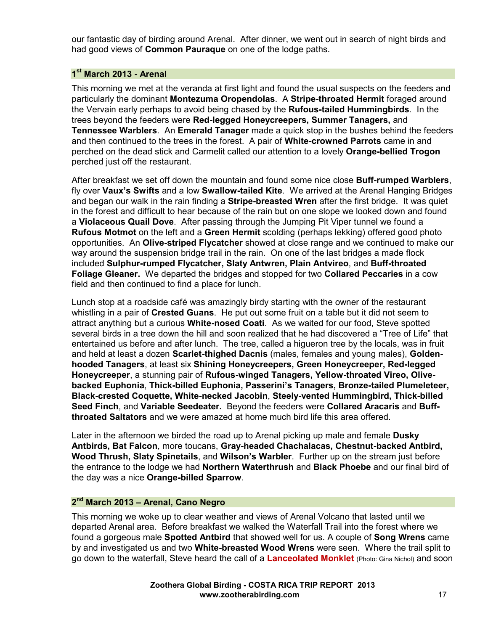our fantastic day of birding around Arenal. After dinner, we went out in search of night birds and had good views of **Common Pauraque** on one of the lodge paths.

#### **1 st March 2013 - Arenal**

This morning we met at the veranda at first light and found the usual suspects on the feeders and particularly the dominant **Montezuma Oropendolas**. A **Stripe-throated Hermit** foraged around the Vervain early perhaps to avoid being chased by the **Rufous-tailed Hummingbirds**. In the trees beyond the feeders were **Red-legged Honeycreepers, Summer Tanagers,** and **Tennessee Warblers**. An **Emerald Tanager** made a quick stop in the bushes behind the feeders and then continued to the trees in the forest. A pair of **White-crowned Parrots** came in and perched on the dead stick and Carmelit called our attention to a lovely **Orange-bellied Trogon** perched just off the restaurant.

After breakfast we set off down the mountain and found some nice close **Buff-rumped Warblers**, fly over **Vaux's Swifts** and a low **Swallow-tailed Kite**. We arrived at the Arenal Hanging Bridges and began our walk in the rain finding a **Stripe-breasted Wren** after the first bridge. It was quiet in the forest and difficult to hear because of the rain but on one slope we looked down and found a **Violaceous Quail Dove**. After passing through the Jumping Pit Viper tunnel we found a **Rufous Motmot** on the left and a **Green Hermit** scolding (perhaps lekking) offered good photo opportunities. An **Olive-striped Flycatcher** showed at close range and we continued to make our way around the suspension bridge trail in the rain. On one of the last bridges a made flock included **Sulphur-rumped Flycatcher, Slaty Antwren, Plain Antvireo**, and **Buff-throated Foliage Gleaner.** We departed the bridges and stopped for two **Collared Peccaries** in a cow field and then continued to find a place for lunch.

Lunch stop at a roadside café was amazingly birdy starting with the owner of the restaurant whistling in a pair of **Crested Guans**. He put out some fruit on a table but it did not seem to attract anything but a curious **White-nosed Coati**. As we waited for our food, Steve spotted several birds in a tree down the hill and soon realized that he had discovered a "Tree of Life" that entertained us before and after lunch. The tree, called a higueron tree by the locals, was in fruit and held at least a dozen **Scarlet-thighed Dacnis** (males, females and young males), **Goldenhooded Tanagers**, at least six **Shining Honeycreepers, Green Honeycreeper, Red-legged Honeycreeper**, a stunning pair of **Rufous-winged Tanagers, Yellow-throated Vireo, Olivebacked Euphonia**, **Thick-billed Euphonia, Passerini's Tanagers, Bronze-tailed Plumeleteer, Black-crested Coquette, White-necked Jacobin**, **Steely-vented Hummingbird, Thick-billed Seed Finch**, and **Variable Seedeater.** Beyond the feeders were **Collared Aracaris** and **Buffthroated Saltators** and we were amazed at home much bird life this area offered.

Later in the afternoon we birded the road up to Arenal picking up male and female **Dusky Antbirds, Bat Falcon**, more toucans, **Gray-headed Chachalacas, Chestnut-backed Antbird, Wood Thrush, Slaty Spinetails**, and **Wilson's Warbler**. Further up on the stream just before the entrance to the lodge we had **Northern Waterthrush** and **Black Phoebe** and our final bird of the day was a nice **Orange-billed Sparrow**.

#### **2 nd March 2013 – Arenal, Cano Negro**

This morning we woke up to clear weather and views of Arenal Volcano that lasted until we departed Arenal area. Before breakfast we walked the Waterfall Trail into the forest where we found a gorgeous male **Spotted Antbird** that showed well for us. A couple of **Song Wrens** came by and investigated us and two **White-breasted Wood Wrens** were seen. Where the trail split to go down to the waterfall, Steve heard the call of a **Lanceolated Monklet** (Photo: Gina Nichol) and soon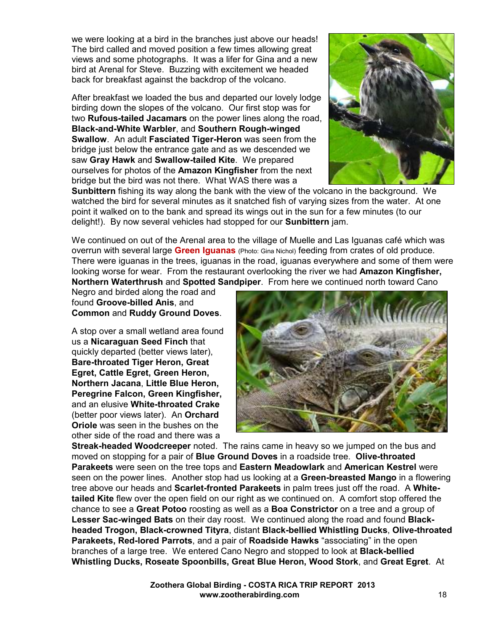we were looking at a bird in the branches just above our heads! The bird called and moved position a few times allowing great views and some photographs. It was a lifer for Gina and a new bird at Arenal for Steve. Buzzing with excitement we headed back for breakfast against the backdrop of the volcano.

After breakfast we loaded the bus and departed our lovely lodge birding down the slopes of the volcano. Our first stop was for two **Rufous-tailed Jacamars** on the power lines along the road, **Black-and-White Warbler**, and **Southern Rough-winged Swallow**. An adult **Fasciated Tiger-Heron** was seen from the bridge just below the entrance gate and as we descended we saw **Gray Hawk** and **Swallow-tailed Kite**. We prepared ourselves for photos of the **Amazon Kingfisher** from the next bridge but the bird was not there. What WAS there was a



**Sunbittern** fishing its way along the bank with the view of the volcano in the background. We watched the bird for several minutes as it snatched fish of varying sizes from the water. At one point it walked on to the bank and spread its wings out in the sun for a few minutes (to our delight!). By now several vehicles had stopped for our **Sunbittern** jam.

We continued on out of the Arenal area to the village of Muelle and Las Iguanas café which was overrun with several large **Green Iguanas** (Photo: Gina Nichol) feeding from crates of old produce. There were iguanas in the trees, iguanas in the road, iguanas everywhere and some of them were looking worse for wear. From the restaurant overlooking the river we had **Amazon Kingfisher, Northern Waterthrush** and **Spotted Sandpiper**. From here we continued north toward Cano

Negro and birded along the road and found **Groove-billed Anis**, and **Common** and **Ruddy Ground Doves**.

A stop over a small wetland area found us a **Nicaraguan Seed Finch** that quickly departed (better views later), **Bare-throated Tiger Heron, Great Egret, Cattle Egret, Green Heron, Northern Jacana**, **Little Blue Heron, Peregrine Falcon, Green Kingfisher,** and an elusive **White-throated Crake** (better poor views later). An **Orchard Oriole** was seen in the bushes on the other side of the road and there was a



**Streak-headed Woodcreeper** noted. The rains came in heavy so we jumped on the bus and moved on stopping for a pair of **Blue Ground Doves** in a roadside tree. **Olive-throated Parakeets** were seen on the tree tops and **Eastern Meadowlark** and **American Kestrel** were seen on the power lines. Another stop had us looking at a **Green-breasted Mango** in a flowering tree above our heads and **Scarlet-fronted Parakeets** in palm trees just off the road. A **Whitetailed Kite** flew over the open field on our right as we continued on. A comfort stop offered the chance to see a **Great Potoo** roosting as well as a **Boa Constrictor** on a tree and a group of **Lesser Sac-winged Bats** on their day roost. We continued along the road and found **Blackheaded Trogon, Black-crowned Tityra**, distant **Black-bellied Whistling Ducks**, **Olive-throated Parakeets, Red-lored Parrots**, and a pair of **Roadside Hawks** "associating" in the open branches of a large tree. We entered Cano Negro and stopped to look at **Black-bellied Whistling Ducks, Roseate Spoonbills, Great Blue Heron, Wood Stork**, and **Great Egret**. At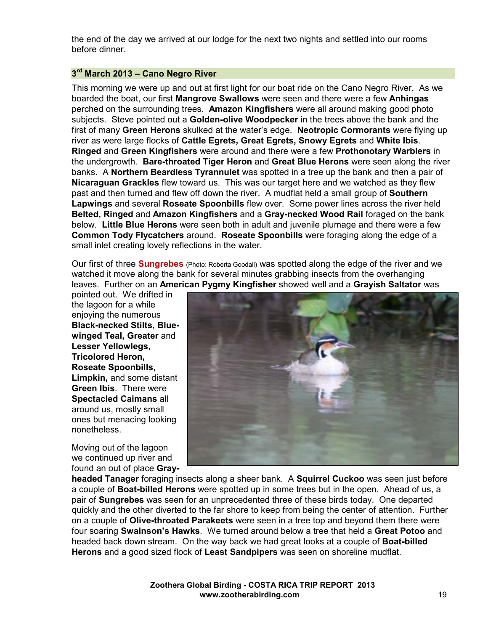the end of the day we arrived at our lodge for the next two nights and settled into our rooms before dinner.

#### **3 rd March 2013 – Cano Negro River**

This morning we were up and out at first light for our boat ride on the Cano Negro River. As we boarded the boat, our first **Mangrove Swallows** were seen and there were a few **Anhingas** perched on the surrounding trees. **Amazon Kingfishers** were all around making good photo subjects. Steve pointed out a **Golden-olive Woodpecker** in the trees above the bank and the first of many **Green Herons** skulked at the water's edge. **Neotropic Cormorants** were flying up river as were large flocks of **Cattle Egrets, Great Egrets, Snowy Egrets** and **White Ibis**. **Ringed** and **Green Kingfishers** were around and there were a few **Prothonotary Warblers** in the undergrowth. **Bare-throated Tiger Heron** and **Great Blue Herons** were seen along the river banks. A **Northern Beardless Tyrannulet** was spotted in a tree up the bank and then a pair of **Nicaraguan Grackles** flew toward us. This was our target here and we watched as they flew past and then turned and flew off down the river. A mudflat held a small group of **Southern Lapwings** and several **Roseate Spoonbills** flew over. Some power lines across the river held **Belted, Ringed** and **Amazon Kingfishers** and a **Gray-necked Wood Rail** foraged on the bank below. **Little Blue Herons** were seen both in adult and juvenile plumage and there were a few **Common Tody Flycatchers** around. **Roseate Spoonbills** were foraging along the edge of a small inlet creating lovely reflections in the water.

Our first of three **Sungrebes** (Photo: Roberta Goodall) was spotted along the edge of the river and we watched it move along the bank for several minutes grabbing insects from the overhanging leaves. Further on an **American Pygmy Kingfisher** showed well and a **Grayish Saltator** was

pointed out. We drifted in the lagoon for a while enjoying the numerous **Black-necked Stilts, Bluewinged Teal, Greater** and **Lesser Yellowlegs, Tricolored Heron, Roseate Spoonbills, Limpkin,** and some distant **Green Ibis**. There were **Spectacled Caimans** all around us, mostly small ones but menacing looking nonetheless.

Moving out of the lagoon we continued up river and found an out of place **Gray-**



**headed Tanager** foraging insects along a sheer bank. A **Squirrel Cuckoo** was seen just before a couple of **Boat-billed Herons** were spotted up in some trees but in the open. Ahead of us, a pair of **Sungrebes** was seen for an unprecedented three of these birds today. One departed quickly and the other diverted to the far shore to keep from being the center of attention. Further on a couple of **Olive-throated Parakeets** were seen in a tree top and beyond them there were four soaring **Swainson's Hawks**. We turned around below a tree that held a **Great Potoo** and headed back down stream. On the way back we had great looks at a couple of **Boat-billed Herons** and a good sized flock of **Least Sandpipers** was seen on shoreline mudflat.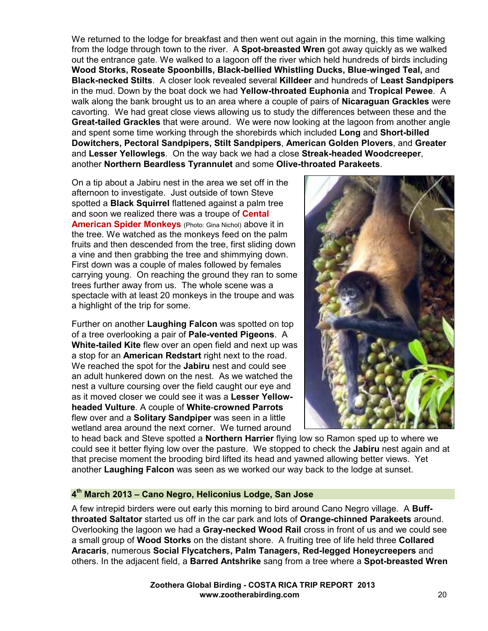We returned to the lodge for breakfast and then went out again in the morning, this time walking from the lodge through town to the river. A **Spot-breasted Wren** got away quickly as we walked out the entrance gate. We walked to a lagoon off the river which held hundreds of birds including **Wood Storks, Roseate Spoonbills, Black-bellied Whistling Ducks, Blue-winged Teal,** and **Black-necked Stilts**. A closer look revealed several **Killdeer** and hundreds of **Least Sandpipers** in the mud. Down by the boat dock we had **Yellow-throated Euphonia** and **Tropical Pewee**. A walk along the bank brought us to an area where a couple of pairs of **Nicaraguan Grackles** were cavorting. We had great close views allowing us to study the differences between these and the **Great-tailed Grackles** that were around. We were now looking at the lagoon from another angle and spent some time working through the shorebirds which included **Long** and **Short-billed Dowitchers, Pectoral Sandpipers, Stilt Sandpipers**, **American Golden Plovers**, and **Greater** and **Lesser Yellowlegs**. On the way back we had a close **Streak-headed Woodcreeper**, another **Northern Beardless Tyrannulet** and some **Olive-throated Parakeets**.

On a tip about a Jabiru nest in the area we set off in the afternoon to investigate. Just outside of town Steve spotted a **Black Squirrel** flattened against a palm tree and soon we realized there was a troupe of **Cental American Spider Monkeys** (Photo: Gina Nichol) above it in the tree. We watched as the monkeys feed on the palm fruits and then descended from the tree, first sliding down a vine and then grabbing the tree and shimmying down. First down was a couple of males followed by females carrying young. On reaching the ground they ran to some trees further away from us. The whole scene was a spectacle with at least 20 monkeys in the troupe and was a highlight of the trip for some.

Further on another **Laughing Falcon** was spotted on top of a tree overlooking a pair of **Pale-vented Pigeons**. A **White-tailed Kite** flew over an open field and next up was a stop for an **American Redstart** right next to the road. We reached the spot for the **Jabiru** nest and could see an adult hunkered down on the nest. As we watched the nest a vulture coursing over the field caught our eye and as it moved closer we could see it was a **Lesser Yellowheaded Vulture**. A couple of **White**-**crowned Parrots** flew over and a **Solitary Sandpiper** was seen in a little wetland area around the next corner. We turned around



to head back and Steve spotted a **Northern Harrier** flying low so Ramon sped up to where we could see it better flying low over the pasture. We stopped to check the **Jabiru** nest again and at that precise moment the brooding bird lifted its head and yawned allowing better views. Yet another **Laughing Falcon** was seen as we worked our way back to the lodge at sunset.

#### **4 th March 2013 – Cano Negro, Heliconius Lodge, San Jose**

A few intrepid birders were out early this morning to bird around Cano Negro village. A **Buffthroated Saltator** started us off in the car park and lots of **Orange-chinned Parakeets** around. Overlooking the lagoon we had a **Gray-necked Wood Rail** cross in front of us and we could see a small group of **Wood Storks** on the distant shore. A fruiting tree of life held three **Collared Aracaris**, numerous **Social Flycatchers, Palm Tanagers, Red-legged Honeycreepers** and others. In the adjacent field, a **Barred Antshrike** sang from a tree where a **Spot-breasted Wren**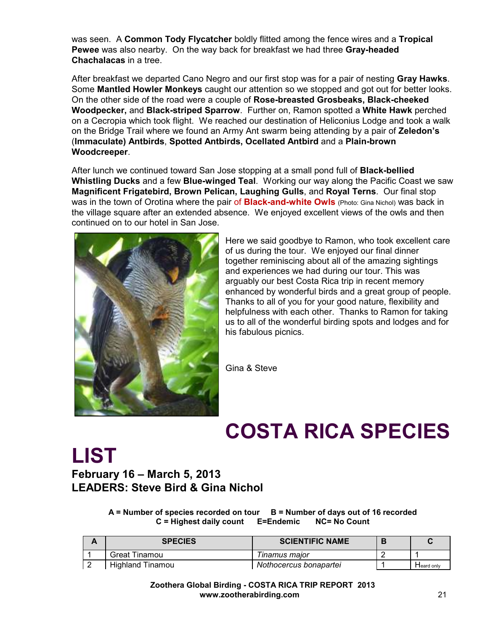was seen. A **Common Tody Flycatcher** boldly flitted among the fence wires and a **Tropical Pewee** was also nearby. On the way back for breakfast we had three **Gray-headed Chachalacas** in a tree.

After breakfast we departed Cano Negro and our first stop was for a pair of nesting **Gray Hawks**. Some **Mantled Howler Monkeys** caught our attention so we stopped and got out for better looks. On the other side of the road were a couple of **Rose-breasted Grosbeaks, Black-cheeked Woodpecker,** and **Black-striped Sparrow**. Further on, Ramon spotted a **White Hawk** perched on a Cecropia which took flight. We reached our destination of Heliconius Lodge and took a walk on the Bridge Trail where we found an Army Ant swarm being attending by a pair of **Zeledon's** (**Immaculate) Antbirds**, **Spotted Antbirds, Ocellated Antbird** and a **Plain-brown Woodcreeper**.

After lunch we continued toward San Jose stopping at a small pond full of **Black-bellied Whistling Ducks** and a few **Blue-winged Teal**. Working our way along the Pacific Coast we saw **Magnificent Frigatebird, Brown Pelican, Laughing Gulls**, and **Royal Terns**. Our final stop was in the town of Orotina where the pair of **Black-and-white Owls** (Photo: Gina Nichol) was back in the village square after an extended absence. We enjoyed excellent views of the owls and then continued on to our hotel in San Jose.



Here we said goodbye to Ramon, who took excellent care of us during the tour. We enjoyed our final dinner together reminiscing about all of the amazing sightings and experiences we had during our tour. This was arguably our best Costa Rica trip in recent memory enhanced by wonderful birds and a great group of people. Thanks to all of you for your good nature, flexibility and helpfulness with each other. Thanks to Ramon for taking us to all of the wonderful birding spots and lodges and for his fabulous picnics.

Gina & Steve

## **COSTA RICA SPECIES**

# **LIST**

### **February 16 – March 5, 2013 LEADERS: Steve Bird & Gina Nichol**

**A = Number of species recorded on tour B = Number of days out of 16 recorded C = Highest daily count E=Endemic NC= No Count** 

| <b>SPECIES</b>   | <b>SCIENTIFIC NAME</b> |            |
|------------------|------------------------|------------|
| Great Tinamou    | Tinamus maior          |            |
| Highland Tinamou | Nothocercus bonapartei | Heard only |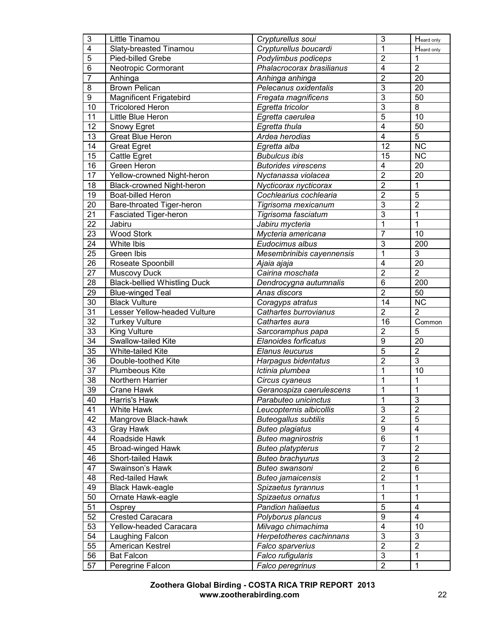| $\mathbf{3}$    | Little Tinamou                        | Crypturellus soui                     | 3                                | Heard only              |
|-----------------|---------------------------------------|---------------------------------------|----------------------------------|-------------------------|
| 4               | Slaty-breasted Tinamou                | Crypturellus boucardi                 | $\overline{1}$                   | Heard only              |
| 5               | Pied-billed Grebe                     | Podylimbus podiceps                   | $\overline{2}$                   | 1                       |
| 6               | Neotropic Cormorant                   | Phalacrocorax brasilianus             | $\overline{4}$                   | $\overline{2}$          |
| $\overline{7}$  | Anhinga                               | Anhinga anhinga                       | $\overline{2}$                   | 20                      |
| 8               | <b>Brown Pelican</b>                  | Pelecanus oxidentalis                 | $\overline{3}$                   | 20                      |
| 9               | <b>Magnificent Frigatebird</b>        | Fregata magnificens                   | $\overline{3}$                   | 50                      |
| 10              | <b>Tricolored Heron</b>               | Egretta tricolor                      | $\overline{3}$                   | 8                       |
| 11              | Little Blue Heron                     | Egretta caerulea                      | $\overline{5}$                   | 10                      |
| 12              | Snowy Egret                           | Egretta thula                         | $\overline{4}$                   | 50                      |
| 13              | <b>Great Blue Heron</b>               | Ardea herodias                        | $\overline{4}$                   | 5                       |
| 14              | <b>Great Egret</b>                    | Egretta alba                          | 12                               | <b>NC</b>               |
| 15              | Cattle Egret                          | <b>Bubulcus ibis</b>                  | 15                               | <b>NC</b>               |
| 16              | Green Heron                           | <b>Butorides virescens</b>            | 4                                | 20                      |
| 17              | Yellow-crowned Night-heron            | Nyctanassa violacea                   | $\overline{2}$                   | 20                      |
| 18              | Black-crowned Night-heron             | Nycticorax nycticorax                 | $\overline{2}$                   | 1                       |
| 19              | <b>Boat-billed Heron</b>              | Cochlearius cochlearia                | $\overline{2}$                   | $\overline{5}$          |
| 20              | Bare-throated Tiger-heron             | Tigrisoma mexicanum                   | $\overline{3}$                   | $\overline{2}$          |
| $\overline{21}$ | Fasciated Tiger-heron                 | Tigrisoma fasciatum                   | $\overline{3}$                   | $\overline{1}$          |
| 22              | Jabiru                                | Jabiru mycteria                       | $\mathbf{1}$                     | 1                       |
| 23              | <b>Wood Stork</b>                     | Mycteria americana                    | $\overline{7}$                   | 10                      |
| 24              | <b>White Ibis</b>                     | Eudocimus albus                       | 3                                | 200                     |
| 25              | Green Ibis                            | Mesembrinibis cayennensis             | 1                                | 3                       |
| 26              |                                       |                                       | $\overline{4}$                   | 20                      |
| 27              | Roseate Spoonbill                     | Ajaia ajaja<br>Cairina moschata       | $\overline{2}$                   | $\overline{2}$          |
|                 | Muscovy Duck                          |                                       | $\overline{6}$                   |                         |
| 28              | <b>Black-bellied Whistling Duck</b>   | Dendrocygna autumnalis                | $\overline{2}$                   | 200                     |
| 29              | <b>Blue-winged Teal</b>               | Anas discors                          |                                  | 50                      |
| 30              | <b>Black Vulture</b>                  | Coragyps atratus                      | $\overline{14}$                  | <b>NC</b>               |
|                 |                                       |                                       |                                  |                         |
| 31              | Lesser Yellow-headed Vulture          | Cathartes burrovianus                 | $\overline{2}$                   | $\overline{2}$          |
| 32              | <b>Turkey Vulture</b>                 | Cathartes aura                        | 16                               | Common                  |
| 33              | <b>King Vulture</b>                   | Sarcoramphus papa                     | $\overline{2}$                   | 5                       |
| 34              | Swallow-tailed Kite                   | <b>Elanoides forficatus</b>           | $\overline{9}$                   | 20                      |
| 35              | White-tailed Kite                     | Elanus leucurus                       | 5                                | $\overline{2}$          |
| 36              | Double-toothed Kite                   | Harpagus bidentatus                   | $\overline{2}$                   | 3                       |
| 37              | Plumbeous Kite                        | Ictinia plumbea                       | 1                                | 10                      |
| 38              | Northern Harrier                      | Circus cyaneus                        | 1                                | 1                       |
| 39              | Crane Hawk                            | Geranospiza caerulescens              | 1                                | 1                       |
| 40              | Harris's Hawk                         | Parabuteo unicinctus                  | $\mathbf{1}$                     | 3                       |
| 41              | White Hawk                            | Leucopternis albicollis               | $\overline{3}$                   | $\overline{2}$          |
| 42              | Mangrove Black-hawk                   | <b>Buteogallus subtilis</b>           | $\overline{2}$                   | 5                       |
| 43              | <b>Gray Hawk</b>                      | <b>Buteo plagiatus</b>                | $\overline{9}$                   | $\overline{4}$          |
| 44              | Roadside Hawk                         | <b>Buteo magnirostris</b>             | 6                                | 1                       |
| 45              | <b>Broad-winged Hawk</b>              | <b>Buteo platypterus</b>              | $\overline{7}$                   | $\overline{2}$          |
| 46              | Short-tailed Hawk                     | <b>Buteo brachyurus</b>               | $\overline{3}$                   | $\overline{2}$          |
| 47              | Swainson's Hawk                       | Buteo swansoni                        | $\overline{2}$                   | $6\phantom{1}$          |
| 48              | Red-tailed Hawk                       | <b>Buteo jamaicensis</b>              | $\overline{2}$                   | 1                       |
| 49              | <b>Black Hawk-eagle</b>               | Spizaetus tyrannus                    | 1                                | 1                       |
| 50              | Ornate Hawk-eagle                     | Spizaetus ornatus                     | $\mathbf 1$                      | 1                       |
| 51              | Osprey                                | <b>Pandion haliaetus</b>              | $\overline{5}$                   | $\overline{\mathbf{4}}$ |
| 52              | <b>Crested Caracara</b>               | Polyborus plancus                     | $\overline{9}$                   | $\overline{\mathbf{4}}$ |
| 53              |                                       | Milvago chimachima                    | $\overline{4}$                   | 10                      |
| 54              | Yellow-headed Caracara                | Herpetotheres cachinnans              | $\overline{3}$                   | 3                       |
|                 | Laughing Falcon                       |                                       |                                  |                         |
| 55              | American Kestrel                      | Falco sparverius                      | $\overline{2}$                   | $\overline{2}$          |
| 56<br>57        | <b>Bat Falcon</b><br>Peregrine Falcon | Falco rufigularis<br>Falco peregrinus | $\overline{3}$<br>$\overline{2}$ | 1<br>1                  |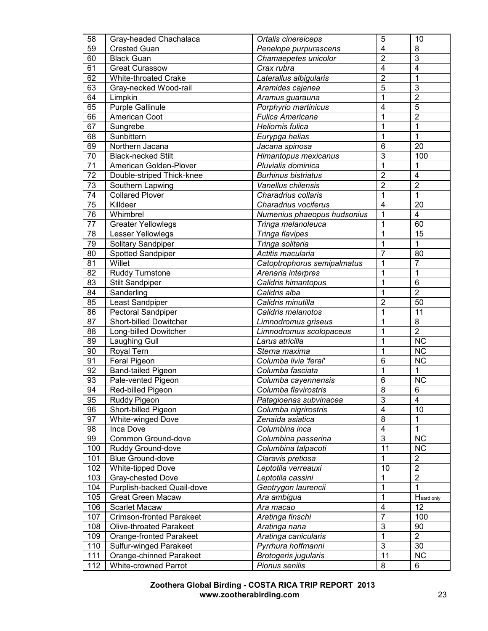| 58              | Gray-headed Chachalaca          | Ortalis cinereiceps         | 5                       | 10                      |
|-----------------|---------------------------------|-----------------------------|-------------------------|-------------------------|
| 59              | Crested Guan                    | Penelope purpurascens       | $\overline{4}$          | 8                       |
| 60              | <b>Black Guan</b>               | Chamaepetes unicolor        | $\overline{2}$          | $\overline{3}$          |
| 61              | <b>Great Curassow</b>           | Crax rubra                  | 4                       | $\overline{\mathbf{4}}$ |
| 62              | White-throated Crake            | Laterallus albigularis      | $\overline{2}$          | 1                       |
| 63              | Gray-necked Wood-rail           | Aramides cajanea            | $\overline{5}$          | $\overline{3}$          |
| 64              | Limpkin                         | Aramus guarauna             | 1                       | $\overline{2}$          |
| 65              | Purple Gallinule                | Porphyrio martinicus        | 4                       | $\overline{5}$          |
| 66              | American Coot                   | <b>Fulica Americana</b>     | 1                       | $\overline{2}$          |
| 67              | Sungrebe                        | Heliornis fulica            | 1                       | 1                       |
| 68              | Sunbittern                      | Eurypga helias              | 1                       | 1                       |
| 69              | Northern Jacana                 | Jacana spinosa              | 6                       | 20                      |
| 70              | <b>Black-necked Stilt</b>       | Himantopus mexicanus        | 3                       | 100                     |
| $\overline{71}$ | American Golden-Plover          | Pluvialis dominica          | 1                       | 1                       |
| 72              | Double-striped Thick-knee       | <b>Burhinus bistriatus</b>  | $\overline{2}$          | $\overline{\mathbf{4}}$ |
| 73              | Southern Lapwing                | Vanellus chilensis          | $\overline{2}$          | $\overline{2}$          |
| 74              | <b>Collared Plover</b>          | Charadrius collaris         | 1                       | $\mathbf{1}$            |
| 75              | Killdeer                        | Charadrius vociferus        | $\overline{4}$          | 20                      |
| 76              | Whimbrel                        | Numenius phaeopus hudsonius | 1                       | 4                       |
| 77              | <b>Greater Yellowlegs</b>       | Tringa melanoleuca          | 1                       | 60                      |
| 78              | Lesser Yellowlegs               | Tringa flavipes             | 1                       | 15                      |
| 79              | Solitary Sandpiper              | Tringa solitaria            | 1                       |                         |
| 80              | Spotted Sandpiper               | Actitis macularia           | $\overline{7}$          | 80                      |
| 81              | Willet                          | Catoptrophorus semipalmatus | 1                       | $\overline{7}$          |
| 82              | Ruddy Turnstone                 | Arenaria interpres          | 1                       | 1                       |
| 83              | <b>Stilt Sandpiper</b>          | Calidris himantopus         | 1                       | $6\phantom{1}$          |
| 84              | Sanderling                      | Calidris alba               | 1                       | $\overline{2}$          |
| 85              | Least Sandpiper                 | Calidris minutilla          | $\overline{2}$          | 50                      |
| 86              | Pectoral Sandpiper              | Calidris melanotos          | 1                       | 11                      |
| 87              | Short-billed Dowitcher          | Limnodromus griseus         | 1                       | 8                       |
| 88              | Long-billed Dowitcher           | Limnodromus scolopaceus     | 1                       | $\overline{2}$          |
| 89              | Laughing Gull                   | Larus atricilla             | 1                       | <b>NC</b>               |
| 90              | Royal Tern                      | Sterna maxima               | 1                       | <b>NC</b>               |
| 91              | Feral Pigeon                    | Columba livia 'feral'       | 6                       | <b>NC</b>               |
| 92              | Band-tailed Pigeon              | Columba fasciata            | 1                       | 1                       |
| 93              | Pale-vented Pigeon              | Columba cayennensis         | 6                       | <b>NC</b>               |
| 94              | Red-billed Pigeon               | Columba flavirostris        | $\overline{8}$          | 6                       |
| 95              | Ruddy Pigeon                    | Patagioenas subvinacea      | $\overline{3}$          | $\overline{4}$          |
| 96              | Short-billed Pigeon             | Columba nigrirostris        | $\overline{4}$          | 10                      |
| 97              | White-winged Dove               | Zenaida asiatica            | 8                       | 1                       |
| 98              | Inca Dove                       | Columbina inca              | $\overline{4}$          | 1                       |
| 99              | Common Ground-dove              | Columbina passerina         | $\overline{3}$          | <b>NC</b>               |
| 100             | Ruddy Ground-dove               | Columbina talpacoti         | 11                      | NC                      |
| 101             | Blue Ground-dove                | Claravis pretiosa           | $\mathbf{1}$            | $\overline{2}$          |
| 102             | White-tipped Dove               | Leptotila verreauxi         | 10                      | $\overline{2}$          |
| 103             | Gray-chested Dove               | Leptotila cassini           | 1                       | $\overline{2}$          |
| 104             | Purplish-backed Quail-dove      | Geotrygon laurencii         | 1                       |                         |
| 105             | <b>Great Green Macaw</b>        | Ara ambigua                 | 1                       | Heard only              |
| 106             | <b>Scarlet Macaw</b>            | Ara macao                   | $\overline{\mathbf{4}}$ | 12                      |
| 107             | <b>Crimson-fronted Parakeet</b> | Aratinga finschi            | $\overline{7}$          | 100                     |
| 108             | <b>Olive-throated Parakeet</b>  | Aratinga nana               | $\overline{3}$          | 90                      |
| 109             | <b>Orange-fronted Parakeet</b>  | Aratinga canicularis        | $\overline{1}$          | $\overline{2}$          |
| 110             | <b>Sulfur-winged Parakeet</b>   | Pyrrhura hoffmanni          | $\overline{3}$          | 30                      |
| 111             | Orange-chinned Parakeet         | <b>Brotogeris jugularis</b> | 11                      | NC                      |
| 112             | <b>White-crowned Parrot</b>     | Pionus senilis              | $\overline{8}$          | 6                       |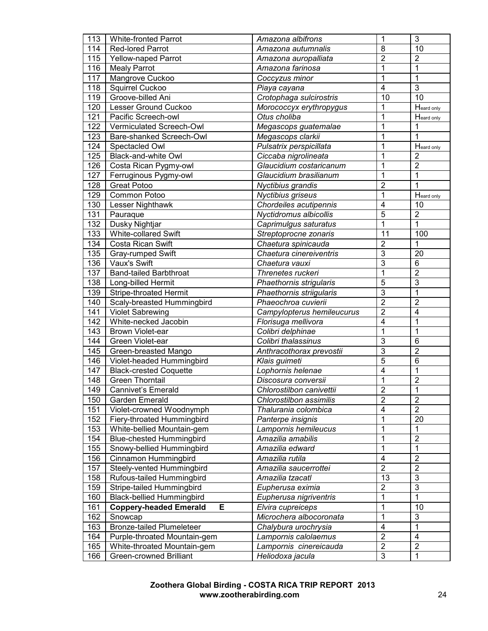| 113 | <b>White-fronted Parrot</b>        | Amazona albifrons          | 1              | $\mathbf{3}$            |
|-----|------------------------------------|----------------------------|----------------|-------------------------|
| 114 | <b>Red-lored Parrot</b>            | Amazona autumnalis         | $\overline{8}$ | 10                      |
| 115 | Yellow-naped Parrot                | Amazona auropalliata       | $\overline{2}$ | $\overline{2}$          |
| 116 | <b>Mealy Parrot</b>                | Amazona farinosa           | 1              | 1                       |
| 117 | Mangrove Cuckoo                    | Coccyzus minor             | 1              | 1                       |
| 118 | Squirrel Cuckoo                    | Piaya cayana               | 4              | $\overline{3}$          |
| 119 | Groove-billed Ani                  | Crotophaga sulcirostris    | 10             | 10                      |
| 120 | Lesser Ground Cuckoo               | Morococcyx erythropygus    | 1              | Heard only              |
| 121 | Pacific Screech-owl                | Otus choliba               | 1              | Heard only              |
| 122 | Vermiculated Screech-Owl           | Megascops guatemalae       | $\mathbf{1}$   | 1                       |
| 123 | Bare-shanked Screech-Owl           | Megascops clarkii          | 1              | 1                       |
| 124 | Spectacled Owl                     | Pulsatrix perspicillata    | 1              | Heard only              |
| 125 | Black-and-white Owl                | Ciccaba nigrolineata       | 1              | $\overline{2}$          |
| 126 | Costa Rican Pygmy-owl              | Glaucidium costaricanum    | 1              | $\overline{2}$          |
| 127 | Ferruginous Pygmy-owl              | Glaucidium brasilianum     | 1              | 1                       |
| 128 | <b>Great Potoo</b>                 | Nyctibius grandis          | $\overline{2}$ | 1                       |
| 129 | Common Potoo                       | Nyctibius griseus          | 1              | Heard only              |
| 130 | Lesser Nighthawk                   | Chordeiles acutipennis     | 4              | 10                      |
| 131 | Pauraque                           | Nyctidromus albicollis     | $\overline{5}$ | $\overline{2}$          |
| 132 | Dusky Nightjar                     | Caprimulgus saturatus      | 1              | $\overline{1}$          |
| 133 | <b>White-collared Swift</b>        | Streptoprocne zonaris      | 11             | 100                     |
| 134 | Costa Rican Swift                  | Chaetura spinicauda        | $\overline{2}$ | 1                       |
| 135 | Gray-rumped Swift                  | Chaetura cinereiventris    | $\overline{3}$ | 20                      |
| 136 | Vaux's Swift                       | Chaetura vauxi             | $\overline{3}$ | 6                       |
| 137 | <b>Band-tailed Barbthroat</b>      | Threnetes ruckeri          | 1              | $\overline{2}$          |
| 138 | Long-billed Hermit                 | Phaethornis strigularis    | $\overline{5}$ | $\overline{3}$          |
| 139 | Stripe-throated Hermit             | Phaethornis striigularis   | $\overline{3}$ | $\overline{1}$          |
| 140 | Scaly-breasted Hummingbird         | Phaeochroa cuvierii        | $\overline{2}$ | $\overline{2}$          |
| 141 | <b>Violet Sabrewing</b>            | Campylopterus hemileucurus | $\overline{2}$ | $\overline{\mathbf{4}}$ |
| 142 | White-necked Jacobin               | Florisuga mellivora        | $\overline{4}$ | 1                       |
| 143 | Brown Violet-ear                   | Colibri delphinae          | 1              | 1                       |
| 144 | Green Violet-ear                   | Colibri thalassinus        | $\overline{3}$ | $6\phantom{1}6$         |
| 145 | Green-breasted Mango               | Anthracothorax prevostii   | $\overline{3}$ | $\overline{2}$          |
| 146 | Violet-headed Hummingbird          | Klais guimeti              | $\overline{5}$ | $6\phantom{1}6$         |
| 147 | <b>Black-crested Coquette</b>      | Lophornis helenae          | $\overline{4}$ | 1                       |
| 148 | <b>Green Thorntail</b>             | Discosura conversii        | 1              | $\overline{2}$          |
| 149 | Cannivet's Emerald                 | Chlorostilbon canivettii   | $\overline{2}$ | 1                       |
| 150 | Garden Emerald                     | Chlorostilbon assimilis    | $\overline{2}$ | $\overline{2}$          |
| 151 | Violet-crowned Woodnymph           | Thalurania colombica       | $\overline{4}$ | $\overline{2}$          |
| 152 | Fiery-throated Hummingbird         | Panterpe insignis          | 1              | 20                      |
| 153 | White-bellied Mountain-gem         | Lampornis hemileucus       | 1              | 1                       |
| 154 | <b>Blue-chested Hummingbird</b>    | Amazilia amabilis          | 1              | $\overline{2}$          |
| 155 | Snowy-bellied Hummingbird          | Amazilia edward            | 1              | 1                       |
| 156 | Cinnamon Hummingbird               | Amazilia rutila            | $\overline{4}$ | $\overline{2}$          |
| 157 | Steely-vented Hummingbird          | Amazilia saucerrottei      | $\overline{2}$ | $\overline{2}$          |
| 158 | Rufous-tailed Hummingbird          | Amazilia tzacatl           | 13             | $\overline{3}$          |
| 159 | Stripe-tailed Hummingbird          | Eupherusa eximia           | $\overline{2}$ | $\overline{3}$          |
| 160 | <b>Black-bellied Hummingbird</b>   | Eupherusa nigriventris     | 1              | 1                       |
| 161 | <b>Coppery-headed Emerald</b><br>Е | Elvira cupreiceps          | 1              | 10                      |
| 162 | Snowcap                            | Microchera albocoronata    | 1              | 3                       |
| 163 | <b>Bronze-tailed Plumeleteer</b>   | Chalybura urochrysia       | 4              | $\mathbf 1$             |
| 164 | Purple-throated Mountain-gem       | Lampornis calolaemus       | $\overline{2}$ | $\overline{\mathbf{4}}$ |
| 165 | White-throated Mountain-gem        | Lampornis cinereicauda     | $\overline{2}$ | $\overline{2}$          |
| 166 | <b>Green-crowned Brilliant</b>     | Heliodoxa jacula           | 3              | 1                       |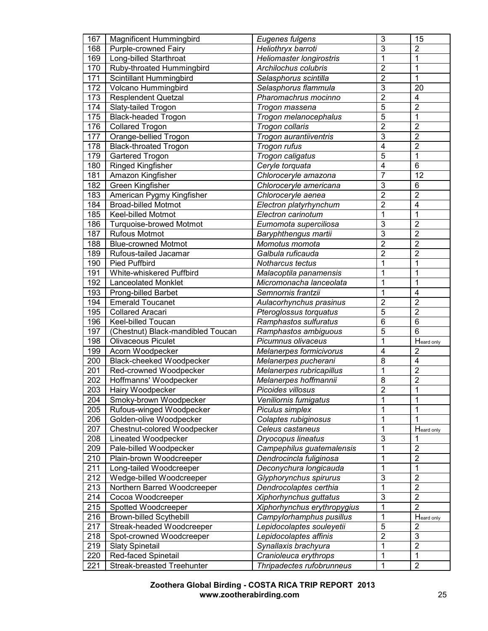| 167 | Magnificent Hummingbird           | Eugenes fulgens             | $\mathbf{3}$   | 15                      |
|-----|-----------------------------------|-----------------------------|----------------|-------------------------|
| 168 | Purple-crowned Fairy              | Heliothryx barroti          | $\overline{3}$ | $\overline{2}$          |
| 169 | Long-billed Starthroat            | Heliomaster longirostris    | 1              | 1                       |
| 170 | Ruby-throated Hummingbird         | Archilochus colubris        | $\overline{2}$ | 1                       |
| 171 | Scintillant Hummingbird           | Selasphorus scintilla       | $\overline{2}$ | 1                       |
| 172 | Volcano Hummingbird               | Selasphorus flammula        | $\overline{3}$ | 20                      |
| 173 | <b>Resplendent Quetzal</b>        | Pharomachrus mocinno        | $\overline{2}$ | 4                       |
| 174 | Slaty-tailed Trogon               | Trogon massena              | 5              | $\overline{2}$          |
| 175 | <b>Black-headed Trogon</b>        | Trogon melanocephalus       | $\overline{5}$ | 1                       |
| 176 | Collared Trogon                   | Trogon collaris             | $\overline{2}$ | $\overline{\mathbf{c}}$ |
| 177 | Orange-bellied Trogon             | Trogon aurantiiventris      | $\overline{3}$ | $\overline{2}$          |
| 178 | Black-throated Trogon             | Trogon rufus                | $\overline{4}$ | $\overline{2}$          |
| 179 | Gartered Trogon                   | Trogon caligatus            | 5              | 1                       |
| 180 | <b>Ringed Kingfisher</b>          | Ceryle torquata             | 4              | $\overline{6}$          |
| 181 | Amazon Kingfisher                 | Chloroceryle amazona        | $\overline{7}$ | 12                      |
| 182 | <b>Green Kingfisher</b>           | Chloroceryle americana      | $\overline{3}$ | 6                       |
| 183 | American Pygmy Kingfisher         | Chloroceryle aenea          | $\overline{2}$ | $\overline{2}$          |
| 184 | <b>Broad-billed Motmot</b>        | Electron platyrhynchum      | $\overline{2}$ | $\overline{4}$          |
| 185 | Keel-billed Motmot                | Electron carinotum          | 1              | 1                       |
| 186 | <b>Turquoise-browed Motmot</b>    | Eumomota superciliosa       | $\overline{3}$ | $\overline{2}$          |
| 187 | <b>Rufous Motmot</b>              | Baryphthengus martii        | $\overline{3}$ | $\overline{2}$          |
| 188 | <b>Blue-crowned Motmot</b>        | Momotus momota              | $\overline{2}$ | $\overline{2}$          |
| 189 | Rufous-tailed Jacamar             | Galbula ruficauda           | $\overline{2}$ | $\overline{2}$          |
| 190 | <b>Pied Puffbird</b>              | Notharcus tectus            | 1              | 1                       |
| 191 | White-whiskered Puffbird          | Malacoptila panamensis      | 1              | 1                       |
| 192 | <b>Lanceolated Monklet</b>        | Micromonacha lanceolata     | 1              | 1                       |
| 193 | Prong-billed Barbet               | Semnornis frantzii          | 1              | $\overline{4}$          |
| 194 | Emerald Toucanet                  | Aulacorhynchus prasinus     | $\overline{2}$ | $\overline{2}$          |
| 195 | <b>Collared Aracari</b>           | Pteroglossus torquatus      | $\overline{5}$ | $\overline{2}$          |
| 196 | Keel-billed Toucan                | Ramphastos sulfuratus       | $\overline{6}$ | $\overline{6}$          |
| 197 | (Chestnut) Black-mandibled Toucan | Ramphastos ambiguous        | $\overline{5}$ | 6                       |
| 198 | <b>Olivaceous Piculet</b>         | Picumnus olivaceus          | 1              | Heard only              |
| 199 | Acorn Woodpecker                  | Melanerpes formicivorus     | 4              | $\overline{2}$          |
| 200 | <b>Black-cheeked Woodpecker</b>   | Melanerpes pucherani        | 8              | $\overline{\mathbf{4}}$ |
| 201 | Red-crowned Woodpecker            | Melanerpes rubricapillus    | 1              | $\overline{2}$          |
| 202 | Hoffmanns' Woodpecker             | Melanerpes hoffmannii       | 8              | $\overline{2}$          |
| 203 | Hairy Woodpecker                  | Picoides villosus           | $\overline{2}$ | $\mathbf 1$             |
| 204 | Smoky-brown Woodpecker            | Veniliornis fumigatus       | 1              | 1                       |
| 205 | Rufous-winged Woodpecker          | Piculus simplex             | 1              | 1                       |
| 206 | Golden-olive Woodpecker           | Colaptes rubiginosus        | 1              | 1                       |
| 207 | Chestnut-colored Woodpecker       | Celeus castaneus            | 1              | Heard only              |
| 208 | Lineated Woodpecker               | Dryocopus lineatus          | $\overline{3}$ |                         |
| 209 | Pale-billed Woodpecker            | Campephilus guatemalensis   | 1              | $\overline{2}$          |
| 210 | Plain-brown Woodcreeper           | Dendrocincla fuliginosa     | 1              | $\overline{2}$          |
| 211 | Long-tailed Woodcreeper           | Deconychura longicauda      | 1              | 1                       |
| 212 | Wedge-billed Woodcreeper          | Glyphorynchus spirurus      | $\overline{3}$ | $\overline{2}$          |
| 213 | Northern Barred Woodcreeper       | Dendrocolaptes certhia      | 1              | $\overline{2}$          |
| 214 | Cocoa Woodcreeper                 | Xiphorhynchus guttatus      | 3              | $\overline{2}$          |
| 215 | Spotted Woodcreeper               | Xiphorhynchus erythropygius | 1              | $\overline{2}$          |
| 216 | <b>Brown-billed Scythebill</b>    | Campylorhamphus pusillus    | 1              | Heard only              |
| 217 | Streak-headed Woodcreeper         | Lepidocolaptes souleyetii   | 5              | $\mathbf 2$             |
| 218 | Spot-crowned Woodcreeper          | Lepidocolaptes affinis      | $\overline{2}$ | $\overline{3}$          |
| 219 | <b>Slaty Spinetail</b>            | Synallaxis brachyura        | $\mathbf{1}$   | $\overline{2}$          |
| 220 | Red-faced Spinetail               | Cranioleuca erythrops       | 1              | 1                       |
| 221 | <b>Streak-breasted Treehunter</b> | Thripadectes rufobrunneus   | $\mathbf 1$    | $\overline{2}$          |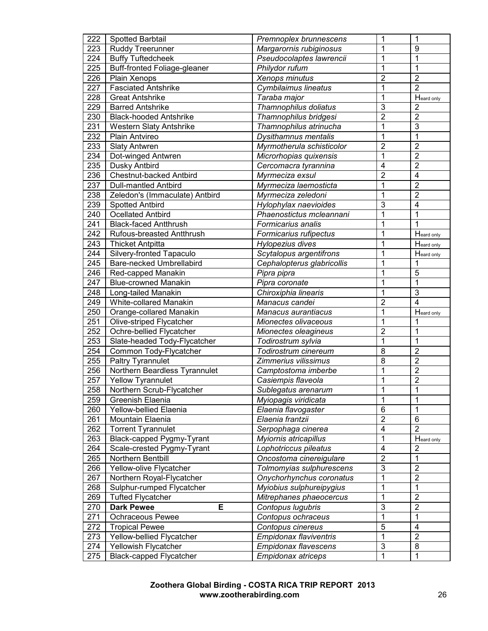| 222        | <b>Spotted Barbtail</b>             | Premnoplex brunnescens      | 1                       | 1                       |
|------------|-------------------------------------|-----------------------------|-------------------------|-------------------------|
| 223        | <b>Ruddy Treerunner</b>             | Margarornis rubiginosus     | 1                       | $\boldsymbol{9}$        |
| 224        | <b>Buffy Tuftedcheek</b>            | Pseudocolaptes lawrencii    | 1                       | 1                       |
| 225        | <b>Buff-fronted Foliage-gleaner</b> | Philydor rufum              | 1                       | 1                       |
| 226        | Plain Xenops                        | Xenops minutus              | $\overline{2}$          | $\overline{2}$          |
| 227        | <b>Fasciated Antshrike</b>          | Cymbilaimus lineatus        | 1                       | $\overline{2}$          |
| 228        | <b>Great Antshrike</b>              | Taraba major                | 1                       | Heard only              |
| 229        | <b>Barred Antshrike</b>             | Thamnophilus doliatus       | $\overline{3}$          | $\overline{2}$          |
| 230        | <b>Black-hooded Antshrike</b>       | Thamnophilus bridgesi       | $\overline{2}$          | $\overline{2}$          |
| 231        | Western Slaty Antshrike             | Thamnophilus atrinucha      | 1                       | 3                       |
| 232        | Plain Antvireo                      | Dysithamnus mentalis        | 1                       | $\mathbf{1}$            |
| 233        | <b>Slaty Antwren</b>                | Myrmotherula schisticolor   | $\overline{2}$          | $\overline{2}$          |
| 234        | Dot-winged Antwren                  | Microrhopias quixensis      | 1                       | $\overline{2}$          |
| 235        | Dusky Antbird                       | Cercomacra tyrannina        | $\overline{4}$          | $\overline{2}$          |
| 236        | Chestnut-backed Antbird             | Myrmeciza exsul             | $\overline{2}$          | $\overline{\mathbf{4}}$ |
| 237        | <b>Dull-mantled Antbird</b>         | Myrmeciza laemosticta       | 1                       | $\overline{2}$          |
| 238        | Zeledon's (Immaculate) Antbird      | Myrmeciza zeledoni          | 1                       | $\overline{2}$          |
| 239        | <b>Spotted Antbird</b>              | Hylophylax naevioides       | $\overline{3}$          | $\overline{\mathbf{4}}$ |
| 240        | <b>Ocellated Antbird</b>            | Phaenostictus mcleannani    | 1                       | 1                       |
| 241        | <b>Black-faced Antthrush</b>        | Formicarius analis          | 1                       | 1                       |
| 242        | Rufous-breasted Antthrush           | Formicarius rufipectus      | 1                       | Heard only              |
| 243        | <b>Thicket Antpitta</b>             | Hylopezius dives            | 1                       | Heard only              |
| 244        | Silvery-fronted Tapaculo            | Scytalopus argentifrons     | 1                       | Heard only              |
| 245        | <b>Bare-necked Umbrellabird</b>     | Cephalopterus glabricollis  | 1                       | 1                       |
| 246        | Red-capped Manakin                  | Pipra pipra                 | 1                       | $\overline{5}$          |
| 247        | <b>Blue-crowned Manakin</b>         | Pipra coronate              | 1                       | 1                       |
| 248        | Long-tailed Manakin                 | Chiroxiphia linearis        | 1                       | $\overline{3}$          |
| 249        | White-collared Manakin              | Manacus candei              | $\overline{2}$          | $\overline{4}$          |
| 250        | Orange-collared Manakin             | Manacus aurantiacus         | 1                       | Heard only              |
| 251        | Olive-striped Flycatcher            | Mionectes olivaceous        | 1                       | 1                       |
| 252        | Ochre-bellied Flycatcher            | Mionectes oleagineus        | $\overline{2}$          | 1                       |
| 253        | Slate-headed Tody-Flycatcher        | Todirostrum sylvia          | 1                       | 1                       |
| 254        | Common Tody-Flycatcher              | Todirostrum cinereum        | 8                       | $\overline{2}$          |
| 255        | Paltry Tyrannulet                   | Zimmerius vilissimus        | 8                       | $\overline{2}$          |
| 256        | Northern Beardless Tyrannulet       | Camptostoma imberbe         | 1                       | $\overline{2}$          |
| 257        | <b>Yellow Tyrannulet</b>            | Casiempis flaveola          | $\mathbf{1}$            | $\overline{2}$          |
| 258        | Northern Scrub-Flycatcher           | Sublegatus arenarum         | $\mathbf 1$             | 1                       |
| 259        | Greenish Elaenia                    | Myiopagis viridicata        | 1                       | 1                       |
| 260        | Yellow-bellied Elaenia              | Elaenia flavogaster         | $\overline{6}$          | 1                       |
| 261        | Mountain Elaenia                    | Elaenia frantzii            | $\overline{2}$          | $6\phantom{1}6$         |
| 262        | <b>Torrent Tyrannulet</b>           | Serpophaga cinerea          | $\overline{4}$          | $\overline{2}$          |
| 263        | Black-capped Pygmy-Tyrant           | Myiornis atricapillus       | 1                       | Heard only              |
| 264        | Scale-crested Pygmy-Tyrant          | Lophotriccus pileatus       | $\overline{\mathbf{4}}$ | $\overline{2}$          |
| 265        | Northern Bentbill                   | Oncostoma cinereigulare     | $\overline{2}$          | 1                       |
| 266        | Yellow-olive Flycatcher             | Tolmomyias sulphurescens    | $\overline{3}$          | $\overline{2}$          |
| 267        | Northern Royal-Flycatcher           | Onychorhynchus coronatus    | 1                       | $\overline{2}$          |
| 268        | Sulphur-rumped Flycatcher           | Myiobius sulphureipygius    | 1                       |                         |
| 269        | <b>Tufted Flycatcher</b>            | Mitrephanes phaeocercus     | 1                       | $\overline{2}$          |
| 270        | E<br><b>Dark Pewee</b>              | Contopus lugubris           | $\overline{3}$          | $\overline{2}$          |
| 271        | <b>Ochraceous Pewee</b>             | Contopus ochraceus          | 1                       | 1                       |
| 272        | <b>Tropical Pewee</b>               | Contopus cinereus           | $\overline{5}$          | $\overline{\mathbf{4}}$ |
| 273        | Yellow-bellied Flycatcher           | Empidonax flaviventris      | 1                       | $\overline{2}$          |
| 274<br>275 | Yellowish Flycatcher                | <b>Empidonax flavescens</b> | $\overline{3}$          | $\bf 8$                 |
|            | <b>Black-capped Flycatcher</b>      | Empidonax atriceps          | $\overline{1}$          | $\mathbf{1}$            |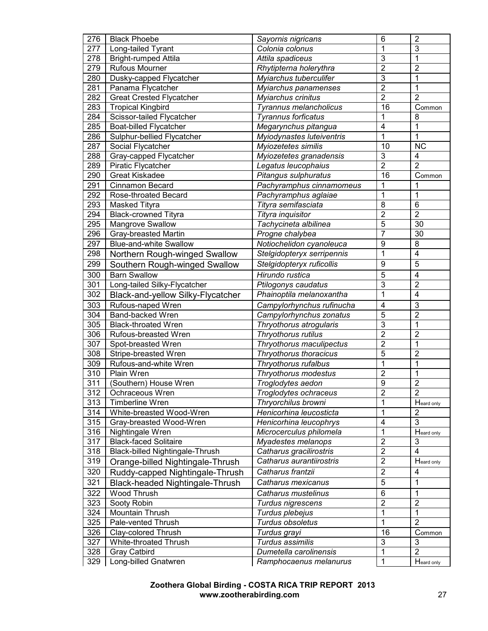| 276 | <b>Black Phoebe</b>                    | Sayornis nigricans         | 6              | $\overline{2}$          |
|-----|----------------------------------------|----------------------------|----------------|-------------------------|
| 277 | Long-tailed Tyrant                     | Colonia colonus            | $\overline{1}$ | 3                       |
| 278 | <b>Bright-rumped Attila</b>            | Attila spadiceus           | $\overline{3}$ | 1                       |
| 279 | <b>Rufous Mourner</b>                  | Rhytipterna holerythra     | $\overline{2}$ | $\overline{2}$          |
| 280 | Dusky-capped Flycatcher                | Myiarchus tuberculifer     | $\overline{3}$ | 1                       |
| 281 | Panama Flycatcher                      | Myiarchus panamenses       | $\overline{2}$ | 1                       |
| 282 | <b>Great Crested Flycatcher</b>        | Myiarchus crinitus         | $\overline{2}$ | $\overline{2}$          |
| 283 | <b>Tropical Kingbird</b>               | Tyrannus melancholicus     | 16             | Common                  |
| 284 | Scissor-tailed Flycatcher              | <b>Tyrannus forficatus</b> | 1              | 8                       |
| 285 | <b>Boat-billed Flycatcher</b>          | Megarynchus pitangua       | 4              | 1                       |
| 286 | Sulphur-bellied Flycatcher             | Myiodynastes luteiventris  | 1              | 1                       |
| 287 | Social Flycatcher                      | Myiozetetes similis        | 10             | <b>NC</b>               |
| 288 | Gray-capped Flycatcher                 | Myiozetetes granadensis    | $\overline{3}$ | $\overline{\mathbf{4}}$ |
| 289 | Piratic Flycatcher                     | Legatus leucophaius        | $\overline{2}$ | $\overline{2}$          |
| 290 | <b>Great Kiskadee</b>                  | Pitangus sulphuratus       | 16             | Common                  |
| 291 | Cinnamon Becard                        | Pachyramphus cinnamomeus   | 1              | 1                       |
| 292 | Rose-throated Becard                   | Pachyramphus aglaiae       | $\overline{1}$ | 1                       |
| 293 | Masked Tityra                          | Tityra semifasciata        | $\overline{8}$ | $\,6$                   |
| 294 | <b>Black-crowned Tityra</b>            | Tityra inquisitor          | $\overline{2}$ | $\overline{2}$          |
| 295 | Mangrove Swallow                       | Tachycineta albilinea      | $\overline{5}$ | 30                      |
| 296 | Gray-breasted Martin                   | Progne chalybea            | $\overline{7}$ | 30                      |
| 297 | <b>Blue-and-white Swallow</b>          | Notiochelidon cyanoleuca   | $\overline{9}$ | $\overline{8}$          |
| 298 | Northern Rough-winged Swallow          | Stelgidopteryx serripennis | $\overline{1}$ | $\overline{\mathbf{4}}$ |
| 299 | Southern Rough-winged Swallow          | Stelgidopteryx ruficollis  | 9              | $\overline{5}$          |
| 300 | <b>Barn Swallow</b>                    | Hirundo rustica            | $\overline{5}$ | $\overline{\mathbf{4}}$ |
| 301 | Long-tailed Silky-Flycatcher           | Ptilogonys caudatus        | $\overline{3}$ | $\overline{2}$          |
| 302 | Black-and-yellow Silky-Flycatcher      | Phainoptila melanoxantha   | 1              | $\overline{4}$          |
| 303 | Rufous-naped Wren                      | Campylorhynchus rufinucha  | 4              | 3                       |
| 304 | Band-backed Wren                       | Campylorhynchus zonatus    | $\overline{5}$ | $\overline{2}$          |
| 305 | <b>Black-throated Wren</b>             | Thryothorus atrogularis    | $\overline{3}$ | 1                       |
| 306 | Rufous-breasted Wren                   | Thryothorus rutilus        | $\overline{2}$ | $\overline{2}$          |
| 307 | Spot-breasted Wren                     | Thryothorus maculipectus   | $\overline{2}$ | 1                       |
| 308 | Stripe-breasted Wren                   | Thryothorus thoracicus     | $\overline{5}$ | $\mathbf 2$             |
| 309 | Rufous-and-white Wren                  | Thryothorus rufalbus       | 1              | 1                       |
| 310 | Plain Wren                             | Thryothorus modestus       | $\overline{2}$ | 1                       |
| 311 | (Southern) House Wren                  | Troglodytes aedon          | $\overline{9}$ | $\mathbf 2$             |
| 312 | Ochraceous Wren                        | Troglodytes ochraceus      | 2              | $\overline{2}$          |
| 313 | Timberline Wren                        | Thryorchilus browni        | $\overline{1}$ | Heard only              |
| 314 | White-breasted Wood-Wren               | Henicorhina leucosticta    | $\mathbf 1$    | $\overline{2}$          |
| 315 | Gray-breasted Wood-Wren                | Henicorhina leucophrys     | 4              | 3                       |
| 316 | Nightingale Wren                       | Microcerculus philomela    | 1              | Heard only              |
| 317 | <b>Black-faced Solitaire</b>           | Myadestes melanops         | $\overline{2}$ | 3                       |
| 318 | Black-billed Nightingale-Thrush        | Catharus gracilirostris    | $\overline{2}$ | $\overline{4}$          |
| 319 | Orange-billed Nightingale-Thrush       | Catharus aurantiirostris   | $\overline{2}$ | Heard only              |
| 320 | Ruddy-capped Nightingale-Thrush        | Catharus frantzii          | $\overline{2}$ | 4                       |
| 321 | <b>Black-headed Nightingale-Thrush</b> | Catharus mexicanus         | $\overline{5}$ | 1                       |
| 322 | Wood Thrush                            | Catharus mustelinus        | $\overline{6}$ | 1                       |
| 323 | Sooty Robin                            | Turdus nigrescens          | $\overline{2}$ | $\overline{2}$          |
| 324 | Mountain Thrush                        | Turdus plebejus            | 1              | 1                       |
| 325 | Pale-vented Thrush                     | Turdus obsoletus           | 1              | $\overline{2}$          |
| 326 | Clay-colored Thrush                    | Turdus grayi               | 16             | Common                  |
| 327 | White-throated Thrush                  | Turdus assimilis           | $\overline{3}$ | 3                       |
| 328 | <b>Gray Catbird</b>                    | Dumetella carolinensis     | 1              | $\overline{2}$          |
| 329 | Long-billed Gnatwren                   | Ramphocaenus melanurus     | $\mathbf{1}$   | Heard only              |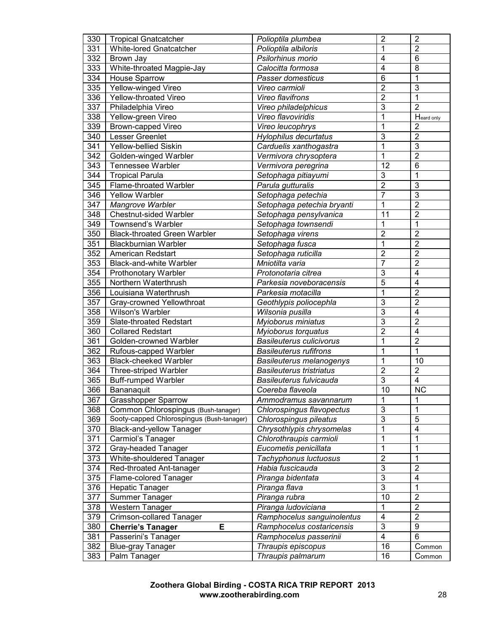| 330        | <b>Tropical Gnatcatcher</b>                                                      | Polioptila plumbea              | $\overline{2}$          | $\overline{2}$          |
|------------|----------------------------------------------------------------------------------|---------------------------------|-------------------------|-------------------------|
| 331        | White-lored Gnatcatcher                                                          | Polioptila albiloris            | 1                       | $\overline{2}$          |
| 332        | Brown Jay                                                                        | Psilorhinus morio               | $\overline{\mathbf{4}}$ | $\overline{6}$          |
| 333        | White-throated Magpie-Jay                                                        | Calocitta formosa               | $\overline{\mathbf{4}}$ | 8                       |
| 334        | <b>House Sparrow</b>                                                             | Passer domesticus               | 6                       | 1                       |
| 335        | Yellow-winged Vireo                                                              | Vireo carmioli                  | $\overline{2}$          | 3                       |
| 336        | Yellow-throated Vireo                                                            | Vireo flavifrons                | $\overline{2}$          | 1                       |
| 337        | Philadelphia Vireo                                                               | Vireo philadelphicus            | $\overline{3}$          | $\overline{2}$          |
| 338        | Yellow-green Vireo                                                               | Vireo flavoviridis              | $\mathbf{1}$            | Heard only              |
| 339        | Brown-capped Vireo                                                               | Vireo leucophrys                | 1                       | $\overline{2}$          |
| 340        | Lesser Greenlet                                                                  | Hylophilus decurtatus           | $\overline{3}$          | $\overline{2}$          |
| 341        | Yellow-bellied Siskin                                                            | Carduelis xanthogastra          | 1                       | $\overline{3}$          |
| 342        | Golden-winged Warbler                                                            | Vermivora chrysoptera           | 1                       | $\overline{2}$          |
| 343        | Tennessee Warbler                                                                | Vermivora peregrina             | 12                      | $\overline{6}$          |
| 344        | <b>Tropical Parula</b>                                                           | Setophaga pitiayumi             | $\overline{3}$          | 1                       |
| 345        | Flame-throated Warbler                                                           | Parula gutturalis               | $\overline{2}$          | $\overline{3}$          |
| 346        | <b>Yellow Warbler</b>                                                            | Setophaga petechia              | $\overline{7}$          | $\overline{3}$          |
| 347        | Mangrove Warbler                                                                 | Setophaga petechia bryanti      | 1                       | $\overline{2}$          |
| 348        | Chestnut-sided Warbler                                                           | Setophaga pensylvanica          | $\overline{11}$         | $\overline{2}$          |
| 349        | Townsend's Warbler                                                               | Setophaga townsendi             | 1                       | $\overline{1}$          |
| 350        | <b>Black-throated Green Warbler</b>                                              | Setophaga virens                | $\overline{2}$          | $\overline{2}$          |
| 351        | <b>Blackburnian Warbler</b>                                                      | Setophaga fusca                 | 1                       | $\overline{2}$          |
| 352        | American Redstart                                                                | Setophaga ruticilla             | $\overline{2}$          | $\overline{2}$          |
| 353        | Black-and-white Warbler                                                          | Mniotilta varia                 | $\overline{7}$          | $\overline{2}$          |
| 354        | Prothonotary Warbler                                                             | Protonotaria citrea             | $\overline{3}$          | $\overline{4}$          |
| 355        | Northern Waterthrush                                                             | Parkesia noveboracensis         | $\overline{5}$          | $\overline{\mathbf{4}}$ |
| 356        | Louisiana Waterthrush                                                            | Parkesia motacilla              | 1                       | $\overline{2}$          |
| 357        | Gray-crowned Yellowthroat                                                        | Geothlypis poliocephla          | $\overline{3}$          | $\overline{2}$          |
| 358        | Wilson's Warbler                                                                 | Wilsonia pusilla                | $\overline{3}$          | $\overline{\mathbf{4}}$ |
| 359        | <b>Slate-throated Redstart</b>                                                   | Myioborus miniatus              | $\overline{3}$          | $\overline{2}$          |
| 360        | <b>Collared Redstart</b>                                                         | Myioborus torquatus             | $\overline{2}$          | $\overline{4}$          |
| 361        | Golden-crowned Warbler                                                           | <b>Basileuterus culicivorus</b> | 1                       | $\overline{2}$          |
| 362        | Rufous-capped Warbler                                                            | <b>Basileuterus rufifrons</b>   | 1                       | 1                       |
| 363        | <b>Black-cheeked Warbler</b>                                                     | Basileuterus melanogenys        | 1                       | 10                      |
| 364        | Three-striped Warbler                                                            | <b>Basileuterus tristriatus</b> | $\overline{2}$          | $\overline{2}$          |
| 365        |                                                                                  | Basileuterus fulvicauda         | $\overline{3}$          | $\overline{4}$          |
|            | <b>Buff-rumped Warbler</b>                                                       |                                 | 10                      |                         |
| 366        | Bananaquit                                                                       | Coereba flaveola                |                         | <b>NC</b>               |
| 367        | <b>Grasshopper Sparrow</b>                                                       | Ammodramus savannarum           | 1<br>$\overline{3}$     | 1<br>1                  |
| 368        | Common Chlorospingus (Bush-tanager)<br>Sooty-capped Chlorospingus (Bush-tanager) | Chlorospingus flavopectus       | $\overline{3}$          | 5                       |
| 369<br>370 |                                                                                  | Chlorospingus pileatus          | $\overline{1}$          | $\overline{\mathbf{4}}$ |
| 371        | Black-and-yellow Tanager                                                         | Chrysothlypis chrysomelas       | 1                       | 1                       |
|            | Carmiol's Tanager                                                                | Chlorothraupis carmioli         | 1                       |                         |
| 372        | Gray-headed Tanager                                                              | Eucometis penicillata           | $\overline{2}$          | 1<br>1                  |
| 373        | White-shouldered Tanager                                                         | Tachyphonus luctuosus           | $\overline{3}$          | $\overline{2}$          |
| 374        | Red-throated Ant-tanager                                                         | Habia fuscicauda                | $\overline{3}$          |                         |
| 375        | Flame-colored Tanager                                                            | Piranga bidentata               | $\overline{3}$          | $\overline{\mathbf{4}}$ |
| 376        | <b>Hepatic Tanager</b>                                                           | Piranga flava                   |                         | 1                       |
| 377        | Summer Tanager                                                                   | Piranga rubra                   | 10                      | $\boldsymbol{2}$        |
| 378        | Western Tanager                                                                  | Piranga ludoviciana             | 1                       | $\boldsymbol{2}$        |
| 379        | Crimson-collared Tanager                                                         | Ramphocelus sanguinolentus      | $\overline{4}$          | $\overline{2}$          |
| 380        | Ε<br><b>Cherrie's Tanager</b>                                                    | Ramphocelus costaricensis       | $\overline{3}$          | $\boldsymbol{9}$        |
| 381        | Passerini's Tanager                                                              | Ramphocelus passerinii          | $\overline{4}$          | 6                       |
| 382        | <b>Blue-gray Tanager</b>                                                         | Thraupis episcopus              | 16                      | Common                  |
| 383        | Palm Tanager                                                                     | Thraupis palmarum               | 16                      | Common                  |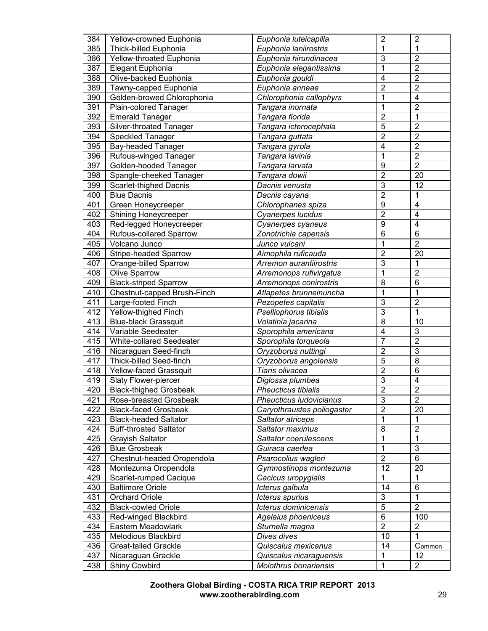| 384 | Yellow-crowned Euphonia        | Euphonia luteicapilla          | $\overline{2}$ | $\overline{2}$          |
|-----|--------------------------------|--------------------------------|----------------|-------------------------|
| 385 | Thick-billed Euphonia          | Euphonia laniirostris          | 1              | 1                       |
| 386 | Yellow-throated Euphonia       | Euphonia hirundinacea          | $\overline{3}$ | $\overline{2}$          |
| 387 | Elegant Euphonia               | Euphonia elegantissima         | 1              | $\overline{2}$          |
| 388 | Olive-backed Euphonia          | Euphonia gouldi                | 4              | $\overline{2}$          |
| 389 | Tawny-capped Euphonia          | Euphonia anneae                | $\overline{2}$ | $\overline{2}$          |
| 390 | Golden-browed Chlorophonia     | Chlorophonia callophyrs        | 1              | $\overline{\mathbf{4}}$ |
| 391 | Plain-colored Tanager          | Tangara inornata               | 1              | $\overline{2}$          |
| 392 | <b>Emerald Tanager</b>         | Tangara florida                | $\overline{c}$ | 1                       |
| 393 | Silver-throated Tanager        | Tangara icterocephala          | 5              | $\overline{2}$          |
| 394 | Speckled Tanager               | Tangara guttata                | $\overline{2}$ | $\overline{2}$          |
| 395 | Bay-headed Tanager             | Tangara gyrola                 | 4              | $\overline{2}$          |
| 396 | Rufous-winged Tanager          | Tangara lavinia                | 1              | $\overline{2}$          |
| 397 | Golden-hooded Tanager          | Tangara larvata                | 9              | $\overline{2}$          |
| 398 | Spangle-cheeked Tanager        | Tangara dowii                  | $\overline{2}$ | 20                      |
| 399 | Scarlet-thighed Dacnis         | Dacnis venusta                 | $\overline{3}$ | 12                      |
| 400 | <b>Blue Dacnis</b>             | Dacnis cayana                  | $\overline{2}$ | 1                       |
| 401 | Green Honeycreeper             | Chlorophanes spiza             | 9              | $\overline{\mathbf{4}}$ |
| 402 | Shining Honeycreeper           | Cyanerpes lucidus              | $\overline{2}$ | $\overline{4}$          |
| 403 | Red-legged Honeycreeper        | Cyanerpes cyaneus              | $\overline{9}$ | $\overline{4}$          |
| 404 | <b>Rufous-collared Sparrow</b> | Zonotrichia capensis           | 6              | $6\phantom{1}6$         |
| 405 | Volcano Junco                  | Junco vulcani                  | 1              | $\overline{2}$          |
| 406 | Stripe-headed Sparrow          | Aimophila ruficauda            | $\overline{2}$ | 20                      |
| 407 | Orange-billed Sparrow          | Arremon aurantiirostris        | 3              | 1                       |
| 408 | Olive Sparrow                  | Arremonops rufivirgatus        | 1              | $\overline{2}$          |
| 409 | <b>Black-striped Sparrow</b>   | Arremonops conirostris         | 8              | $\overline{6}$          |
| 410 | Chestnut-capped Brush-Finch    | Atlapetes brunneinuncha        | 1              | 1                       |
| 411 | Large-footed Finch             | Pezopetes capitalis            | $\overline{3}$ | $\overline{2}$          |
| 412 | Yellow-thighed Finch           | Pselliophorus tibialis         | $\overline{3}$ | 1                       |
| 413 | <b>Blue-black Grassquit</b>    | Volatinia jacarina             | 8              | 10                      |
| 414 | Variable Seedeater             | Sporophila americana           | 4              | 3                       |
| 415 | White-collared Seedeater       | Sporophila torqueola           | $\overline{7}$ | $\overline{2}$          |
| 416 | Nicaraguan Seed-finch          | Oryzoborus nuttingi            | $\overline{2}$ | 3                       |
| 417 | Thick-billed Seed-finch        | Oryzoborus angolensis          | 5              | 8                       |
| 418 | Yellow-faced Grassquit         | Tiaris olivacea                | $\overline{2}$ | $6\phantom{1}6$         |
| 419 | Slaty Flower-piercer           | Diglossa plumbea               | 3              | $\overline{\mathbf{4}}$ |
| 420 | <b>Black-thighed Grosbeak</b>  | Pheucticus tibialis            | $\overline{2}$ | $\overline{2}$          |
| 421 | Rose-breasted Grosbeak         | <b>Pheucticus Iudovicianus</b> | $\overline{3}$ | $\overline{2}$          |
| 422 | <b>Black-faced Grosbeak</b>    | Caryothraustes poliogaster     | $\overline{2}$ | 20                      |
| 423 | <b>Black-headed Saltator</b>   | Saltator atriceps              | 1              | 1                       |
| 424 | <b>Buff-throated Saltator</b>  | Saltator maximus               | $\overline{8}$ | $\overline{2}$          |
| 425 | <b>Grayish Saltator</b>        | Saltator coerulescens          | 1              | 1                       |
| 426 | <b>Blue Grosbeak</b>           | Guiraca caerlea                | 1              | 3                       |
| 427 | Chestnut-headed Oropendola     | Psarocolius wagleri            | $\overline{2}$ | $\overline{6}$          |
| 428 | Montezuma Oropendola           | Gymnostinops montezuma         | 12             | 20                      |
| 429 | Scarlet-rumped Cacique         | Cacicus uropygialis            | 1              | 1                       |
| 430 | <b>Baltimore Oriole</b>        | Icterus galbula                | 14             | $\,6$                   |
| 431 | Orchard Oriole                 | Icterus spurius                | $\overline{3}$ | 1                       |
| 432 | <b>Black-cowled Oriole</b>     | Icterus dominicensis           | $\overline{5}$ | $\overline{2}$          |
| 433 | Red-winged Blackbird           | Agelaius phoeniceus            | $\overline{6}$ | 100                     |
| 434 | Eastern Meadowlark             | Sturnella magna                | $\overline{2}$ | $\boldsymbol{2}$        |
| 435 | Melodious Blackbird            | Dives dives                    | 10             | 1                       |
| 436 | <b>Great-tailed Grackle</b>    | Quiscalus mexicanus            | 14             | Common                  |
| 437 | Nicaraguan Grackle             | Quiscalus nicaraguensis        | $\mathbf{1}$   | 12                      |
| 438 | Shiny Cowbird                  | Molothrus bonariensis          | $\mathbf{1}$   | $\overline{2}$          |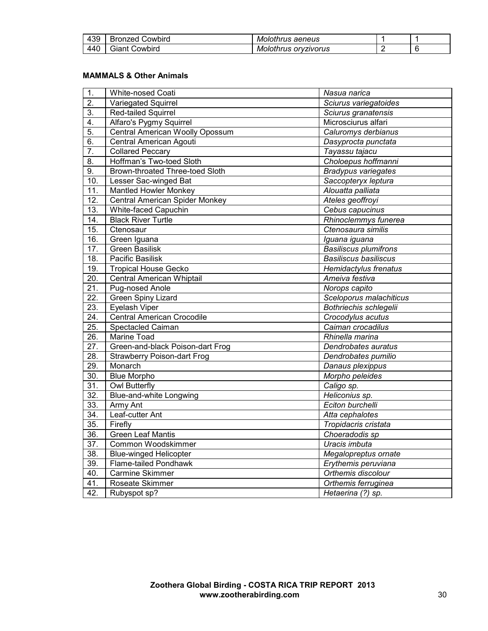| 439 | <b>Bronzed Cowbird</b> | Molothrus aeneus     |  |
|-----|------------------------|----------------------|--|
| 440 | <b>Giant Cowbird</b>   | Molothrus oryzivorus |  |

#### **MAMMALS & Other Animals**

| 1.<br>White-nosed Coati<br>Nasua narica<br>2.<br>Variegated Squirrel<br>Sciurus variegatoides<br>$\overline{3}$ .<br>Red-tailed Squirrel<br>Sciurus granatensis |  |
|-----------------------------------------------------------------------------------------------------------------------------------------------------------------|--|
|                                                                                                                                                                 |  |
|                                                                                                                                                                 |  |
|                                                                                                                                                                 |  |
| Alfaro's Pygmy Squirrel<br>$\boldsymbol{4}$ .<br>Microsciurus alfari                                                                                            |  |
| $\overline{5}$ .<br>Central American Woolly Opossum<br>Caluromys derbianus                                                                                      |  |
| Dasyprocta punctata<br>6.<br>Central American Agouti                                                                                                            |  |
| $\overline{7}$ .<br>Tayassu tajacu<br><b>Collared Peccary</b>                                                                                                   |  |
| Choloepus hoffmanni<br>Hoffman's Two-toed Sloth<br>8.                                                                                                           |  |
| Brown-throated Three-toed Sloth<br><b>Bradypus variegates</b><br>9.                                                                                             |  |
| 10.<br>Saccopteryx leptura<br>Lesser Sac-winged Bat                                                                                                             |  |
| <b>Mantled Howler Monkey</b><br>Alouatta palliata<br>11.                                                                                                        |  |
| 12.<br>Central American Spider Monkey<br>Ateles geoffroyi                                                                                                       |  |
| 13.<br>White-faced Capuchin<br>Cebus capucinus                                                                                                                  |  |
| <b>Black River Turtle</b><br>Rhinoclemmys funerea<br>14.                                                                                                        |  |
| 15.<br>Ctenosaura similis<br>Ctenosaur                                                                                                                          |  |
| 16.<br>Iguana iguana<br>Green Iguana                                                                                                                            |  |
| <b>Green Basilisk</b><br><b>Basiliscus plumifrons</b><br>17.                                                                                                    |  |
| Pacific Basilisk<br>18.<br><b>Basiliscus basiliscus</b>                                                                                                         |  |
| 19.<br><b>Tropical House Gecko</b><br>Hemidactylus frenatus                                                                                                     |  |
| 20.<br>Central American Whiptail<br>Ameiva festiva                                                                                                              |  |
| 21.<br>Pug-nosed Anole<br>Norops capito                                                                                                                         |  |
| 22.<br>Green Spiny Lizard<br>Sceloporus malachiticus                                                                                                            |  |
| 23.<br>Eyelash Viper<br>Bothriechis schlegelii                                                                                                                  |  |
| $\overline{24}$ .<br><b>Central American Crocodile</b><br>Crocodylus acutus                                                                                     |  |
| 25.<br>Spectacled Caiman<br>Caiman crocadilus                                                                                                                   |  |
| Rhinella marina<br>26.<br>Marine Toad                                                                                                                           |  |
| $\overline{27}$ .<br>Green-and-black Poison-dart Frog<br>Dendrobates auratus                                                                                    |  |
| 28.<br>Dendrobates pumilio<br><b>Strawberry Poison-dart Frog</b>                                                                                                |  |
| Monarch<br>29.<br>Danaus plexippus                                                                                                                              |  |
| 30.<br><b>Blue Morpho</b><br>Morpho peleides                                                                                                                    |  |
| Owl Butterfly<br>Caligo sp.<br>31.                                                                                                                              |  |
| 32.<br>Blue-and-white Longwing<br>Heliconius sp.                                                                                                                |  |
| $\overline{33}$ .<br>Eciton burchelli<br>Army Ant                                                                                                               |  |
| 34.<br>Leaf-cutter Ant<br>Atta cephalotes                                                                                                                       |  |
| $\overline{35}$ .<br>Firefly<br>Tropidacris cristata                                                                                                            |  |
| 36.<br>Choeradodis sp<br><b>Green Leaf Mantis</b>                                                                                                               |  |
| 37.<br>Uracis imbuta<br>Common Woodskimmer                                                                                                                      |  |
| $\overline{38}$ .<br><b>Blue-winged Helicopter</b><br>Megalopreptus ornate                                                                                      |  |
| 39.<br>Flame-tailed Pondhawk<br>Erythemis peruviana                                                                                                             |  |
| Orthemis discolour<br>40.<br>Carmine Skimmer                                                                                                                    |  |
| 41.<br>Roseate Skimmer<br>Orthemis ferruginea                                                                                                                   |  |
| 42.<br>Rubyspot sp?<br>Hetaerina (?) sp.                                                                                                                        |  |